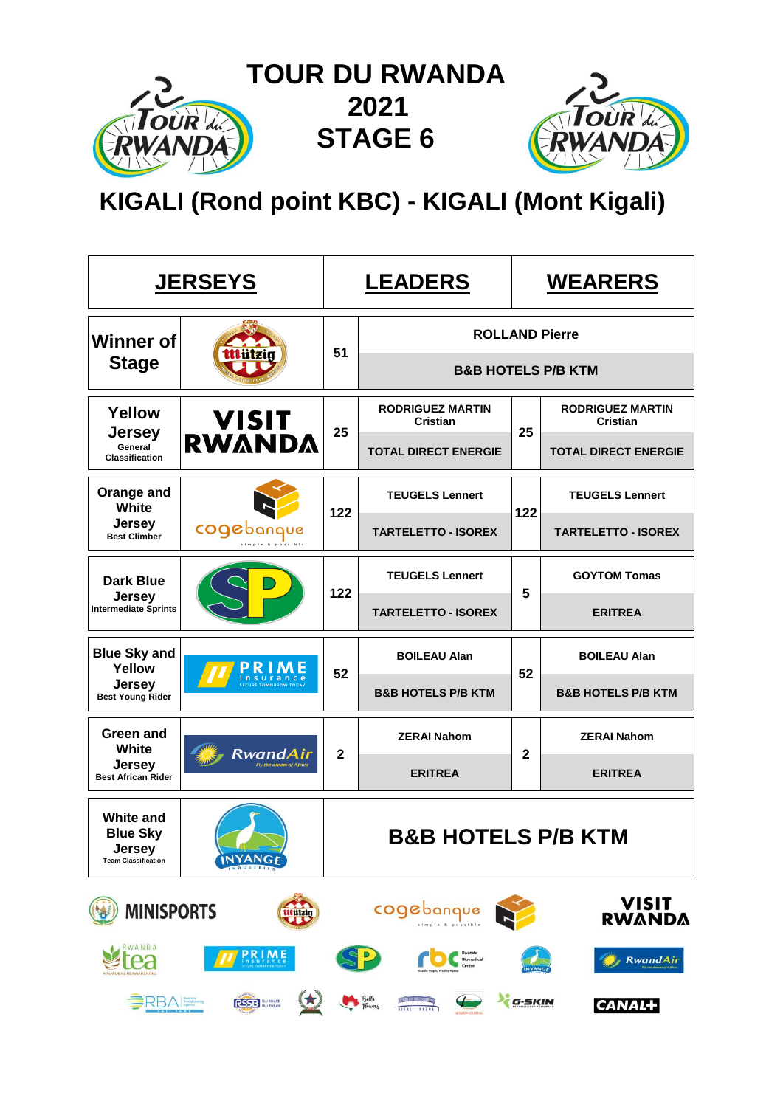

 **TOUR DU RWANDA 2021 2021 STAGE 6**



 **KIGALI (Rond point KBC) - KIGALI (Mont Kigali)**

|                                                                                               | <b>JERSEYS</b>                                                                     |                | <b>LEADERS</b>                             |             | <b>WEARERS</b>                             |  |  |  |
|-----------------------------------------------------------------------------------------------|------------------------------------------------------------------------------------|----------------|--------------------------------------------|-------------|--------------------------------------------|--|--|--|
| <b>Winner of</b>                                                                              |                                                                                    | 51             |                                            |             | <b>ROLLAND Pierre</b>                      |  |  |  |
| <b>Stage</b>                                                                                  |                                                                                    |                | <b>B&amp;B HOTELS P/B KTM</b>              |             |                                            |  |  |  |
| <b>Yellow</b>                                                                                 | <b>VISIT<br/>RWANDA</b><br><b>Jersey</b>                                           |                | <b>RODRIGUEZ MARTIN</b><br><b>Cristian</b> | 25          | <b>RODRIGUEZ MARTIN</b><br><b>Cristian</b> |  |  |  |
| General<br><b>Classification</b>                                                              |                                                                                    | 25             | <b>TOTAL DIRECT ENERGIE</b>                |             | <b>TOTAL DIRECT ENERGIE</b>                |  |  |  |
| Orange and<br>White<br><b>Jersey</b><br>cogebanque<br><b>Best Climber</b><br><b>Dark Blue</b> |                                                                                    | 122            | <b>TEUGELS Lennert</b>                     | 122         | <b>TEUGELS Lennert</b>                     |  |  |  |
|                                                                                               |                                                                                    |                | <b>TARTELETTO - ISOREX</b>                 |             | <b>TARTELETTO - ISOREX</b>                 |  |  |  |
|                                                                                               |                                                                                    | 122            | <b>TEUGELS Lennert</b>                     | 5           | <b>GOYTOM Tomas</b>                        |  |  |  |
| <b>Jersey</b><br><b>Intermediate Sprints</b>                                                  |                                                                                    |                | <b>TARTELETTO - ISOREX</b>                 |             | <b>ERITREA</b>                             |  |  |  |
| <b>Blue Sky and</b><br>Yellow                                                                 |                                                                                    | 52             | <b>BOILEAU Alan</b>                        |             | <b>BOILEAU Alan</b>                        |  |  |  |
| <b>Jersey</b><br><b>Best Young Rider</b>                                                      |                                                                                    |                | <b>B&amp;B HOTELS P/B KTM</b>              | 52          | <b>B&amp;B HOTELS P/B KTM</b>              |  |  |  |
| Green and<br>White                                                                            |                                                                                    | $\overline{2}$ | <b>ZERAI Nahom</b>                         | $\mathbf 2$ | <b>ZERAI Nahom</b>                         |  |  |  |
| <b>Jersey</b><br><b>Best African Rider</b>                                                    | RwandAir<br><b>Fly the dream of Africa</b>                                         |                | <b>ERITREA</b>                             |             | <b>ERITREA</b>                             |  |  |  |
| <b>White and</b><br><b>Blue Sky</b><br>Jersey<br><b>Team Classification</b>                   | <b>INYANGF</b>                                                                     |                | B&B HOTELS P/B KTM                         |             |                                            |  |  |  |
| <b>MINISPORTS</b>                                                                             | <b>Mützig</b>                                                                      |                | cogebanque                                 |             | <b>VISIT</b><br><b>RWANDA</b>              |  |  |  |
| RWANDA                                                                                        | <b>PRIME</b>                                                                       |                |                                            |             | <b>RwandAir</b>                            |  |  |  |
| <b>BRBA</b> Brootcasting                                                                      | $\left( \begin{smallmatrix} \bigstar \end{smallmatrix} \right)$<br>RSSB Sur Future |                | Bette<br>Thewers<br>$\leftarrow$           | G-SKIN      | <b>CANAL+</b>                              |  |  |  |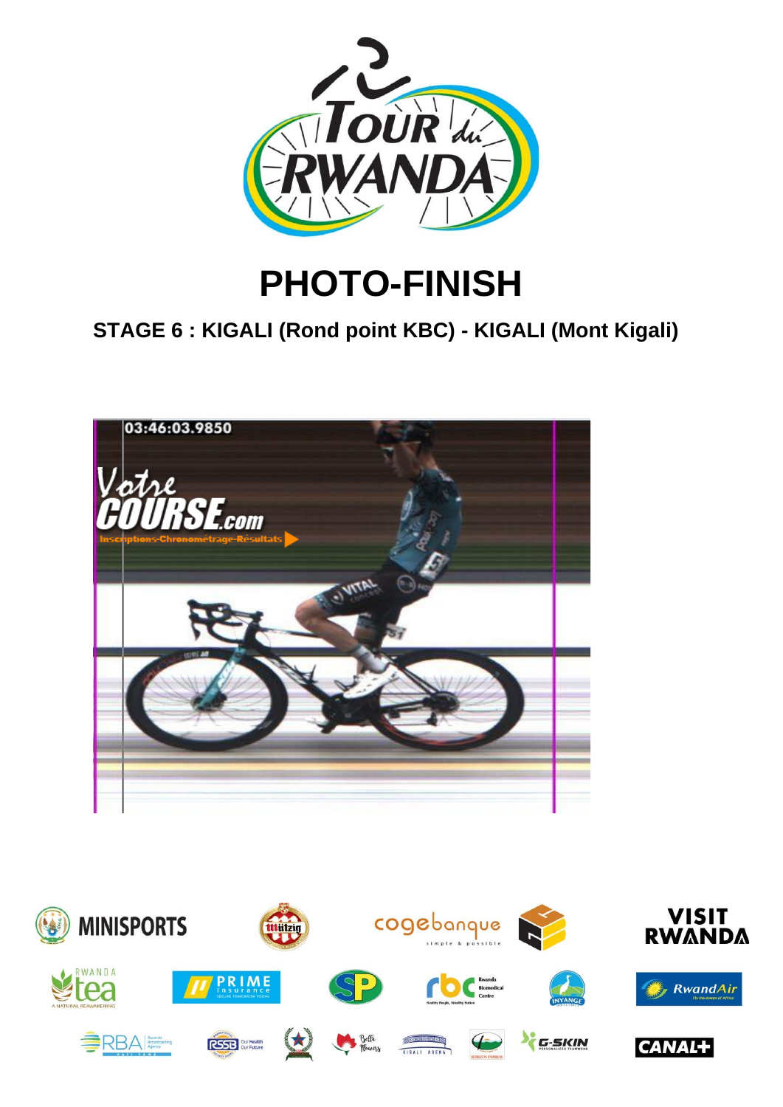

# **PHOTO-FINISH**

**STAGE 6 : KIGALI (Rond point KBC) - KIGALI (Mont Kigali)**



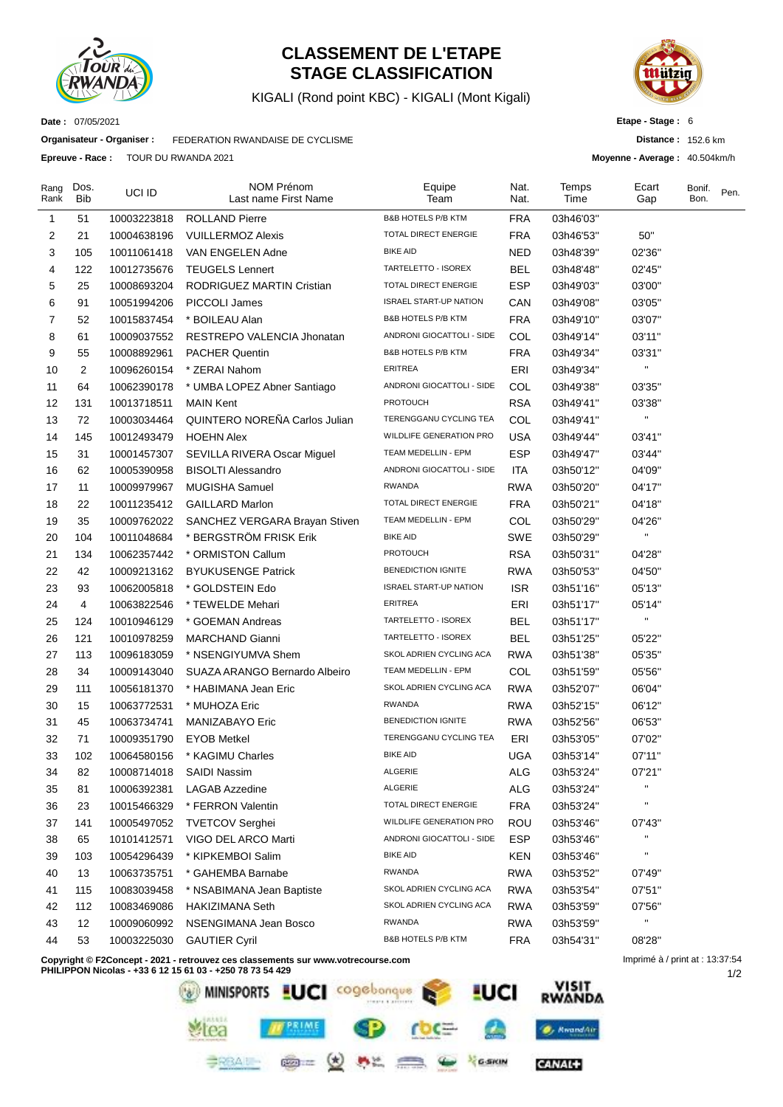

### **CLASSEMENT DE L'ETAPE STAGE CLASSIFICATION**

KIGALI (Rond point KBC) - KIGALI (Mont Kigali)



**Distance :** 152.6 km **Moyenne - Average :** 40.504km/h

**Etape - Stage :** 6

**Date :** 07/05/2021

**Organisateur - Organiser :** FEDERATION RWANDAISE DE CYCLISME

**Epreuve - Race :** TOUR DU RWANDA 2021

| Rang<br>Rank | Dos.<br>Bib    | UCI ID      | <b>NOM Prénom</b><br>Last name First Name | Equipe<br>Team                 | Nat.<br>Nat. | Temps<br>Time | Ecart<br>Gap       | Bonif.<br>Bon. | Pen. |
|--------------|----------------|-------------|-------------------------------------------|--------------------------------|--------------|---------------|--------------------|----------------|------|
| 1            | 51             | 10003223818 | <b>ROLLAND Pierre</b>                     | <b>B&amp;B HOTELS P/B KTM</b>  | <b>FRA</b>   | 03h46'03"     |                    |                |      |
| 2            | 21             | 10004638196 | <b>VUILLERMOZ Alexis</b>                  | TOTAL DIRECT ENERGIE           | <b>FRA</b>   | 03h46'53"     | 50"                |                |      |
| 3            | 105            | 10011061418 | VAN ENGELEN Adne                          | <b>BIKE AID</b>                | <b>NED</b>   | 03h48'39"     | 02'36"             |                |      |
| 4            | 122            | 10012735676 | <b>TEUGELS Lennert</b>                    | TARTELETTO - ISOREX            | <b>BEL</b>   | 03h48'48"     | 02'45"             |                |      |
| 5            | 25             | 10008693204 | RODRIGUEZ MARTIN Cristian                 | TOTAL DIRECT ENERGIE           | <b>ESP</b>   | 03h49'03"     | 03'00"             |                |      |
| 6            | 91             | 10051994206 | PICCOLI James                             | <b>ISRAEL START-UP NATION</b>  | CAN          | 03h49'08"     | 03'05"             |                |      |
| 7            | 52             | 10015837454 | * BOILEAU Alan                            | <b>B&amp;B HOTELS P/B KTM</b>  | <b>FRA</b>   | 03h49'10"     | 03'07"             |                |      |
| 8            | 61             | 10009037552 | RESTREPO VALENCIA Jhonatan                | ANDRONI GIOCATTOLI - SIDE      | COL          | 03h49'14"     | 03'11"             |                |      |
| 9            | 55             | 10008892961 | <b>PACHER Quentin</b>                     | <b>B&amp;B HOTELS P/B KTM</b>  | <b>FRA</b>   | 03h49'34"     | 03'31"             |                |      |
| 10           | $\overline{c}$ | 10096260154 | * ZERAI Nahom                             | <b>ERITREA</b>                 | ERI          | 03h49'34"     | $\blacksquare$     |                |      |
| 11           | 64             | 10062390178 | * UMBA LOPEZ Abner Santiago               | ANDRONI GIOCATTOLI - SIDE      | COL          | 03h49'38"     | 03'35"             |                |      |
| 12           | 131            | 10013718511 | <b>MAIN Kent</b>                          | <b>PROTOUCH</b>                | <b>RSA</b>   | 03h49'41"     | 03'38"             |                |      |
| 13           | 72             | 10003034464 | QUINTERO NOREÑA Carlos Julian             | TERENGGANU CYCLING TEA         | COL          | 03h49'41"     | $\blacksquare$     |                |      |
| 14           | 145            | 10012493479 | <b>HOEHN Alex</b>                         | <b>WILDLIFE GENERATION PRO</b> | <b>USA</b>   | 03h49'44"     | 03'41"             |                |      |
| 15           | 31             | 10001457307 | SEVILLA RIVERA Oscar Miguel               | TEAM MEDELLIN - EPM            | <b>ESP</b>   | 03h49'47"     | 03'44"             |                |      |
| 16           | 62             | 10005390958 | <b>BISOLTI Alessandro</b>                 | ANDRONI GIOCATTOLI - SIDE      | <b>ITA</b>   | 03h50'12"     | 04'09"             |                |      |
| 17           | 11             | 10009979967 | <b>MUGISHA Samuel</b>                     | <b>RWANDA</b>                  | <b>RWA</b>   | 03h50'20"     | 04'17"             |                |      |
| 18           | 22             | 10011235412 | <b>GAILLARD Marlon</b>                    | TOTAL DIRECT ENERGIE           | <b>FRA</b>   | 03h50'21"     | 04'18"             |                |      |
| 19           | 35             | 10009762022 | SANCHEZ VERGARA Brayan Stiven             | TEAM MEDELLIN - EPM            | COL          | 03h50'29"     | 04'26"             |                |      |
| 20           | 104            | 10011048684 | * BERGSTRÖM FRISK Erik                    | <b>BIKE AID</b>                | SWE          | 03h50'29"     | $\pmb{\mathsf{H}}$ |                |      |
| 21           | 134            | 10062357442 | * ORMISTON Callum                         | <b>PROTOUCH</b>                | <b>RSA</b>   | 03h50'31"     | 04'28"             |                |      |
| 22           | 42             | 10009213162 | <b>BYUKUSENGE Patrick</b>                 | <b>BENEDICTION IGNITE</b>      | <b>RWA</b>   | 03h50'53"     | 04'50"             |                |      |
| 23           | 93             | 10062005818 | * GOLDSTEIN Edo                           | <b>ISRAEL START-UP NATION</b>  | <b>ISR</b>   | 03h51'16"     | 05'13"             |                |      |
| 24           | 4              | 10063822546 | * TEWELDE Mehari                          | <b>ERITREA</b>                 | ERI          | 03h51'17"     | 05'14"             |                |      |
| 25           | 124            | 10010946129 | * GOEMAN Andreas                          | TARTELETTO - ISOREX            | <b>BEL</b>   | 03h51'17"     | $\blacksquare$     |                |      |
| 26           | 121            | 10010978259 | <b>MARCHAND Gianni</b>                    | TARTELETTO - ISOREX            | <b>BEL</b>   | 03h51'25"     | 05'22"             |                |      |
| 27           | 113            | 10096183059 | * NSENGIYUMVA Shem                        | SKOL ADRIEN CYCLING ACA        | <b>RWA</b>   | 03h51'38"     | 05'35"             |                |      |
| 28           | 34             | 10009143040 | SUAZA ARANGO Bernardo Albeiro             | TEAM MEDELLIN - EPM            | COL          | 03h51'59"     | 05'56"             |                |      |
| 29           | 111            | 10056181370 | * HABIMANA Jean Eric                      | SKOL ADRIEN CYCLING ACA        | <b>RWA</b>   | 03h52'07"     | 06'04"             |                |      |
| 30           | 15             | 10063772531 | * MUHOZA Eric                             | <b>RWANDA</b>                  | <b>RWA</b>   | 03h52'15"     | 06'12"             |                |      |
| 31           | 45             | 10063734741 | <b>MANIZABAYO Eric</b>                    | <b>BENEDICTION IGNITE</b>      | <b>RWA</b>   | 03h52'56"     | 06'53"             |                |      |
| 32           | 71             | 10009351790 | <b>EYOB Metkel</b>                        | TERENGGANU CYCLING TEA         | ERI          | 03h53'05"     | 07'02"             |                |      |
| 33           | 102            | 10064580156 | * KAGIMU Charles                          | <b>BIKE AID</b>                | <b>UGA</b>   | 03h53'14"     | 07'11"             |                |      |
| 34           | 82             | 10008714018 | <b>SAIDI Nassim</b>                       | ALGERIE                        | ALG          | 03h53'24"     | 07'21"             |                |      |
| 35           | 81             | 10006392381 | <b>LAGAB Azzedine</b>                     | <b>ALGERIE</b>                 | <b>ALG</b>   | 03h53'24"     | $\blacksquare$     |                |      |
| 36           | 23             | 10015466329 | * FERRON Valentin                         | TOTAL DIRECT ENERGIE           | <b>FRA</b>   | 03h53'24"     | $\blacksquare$     |                |      |
| 37           | 141            | 10005497052 | <b>TVETCOV Serghei</b>                    | WILDLIFE GENERATION PRO        | <b>ROU</b>   | 03h53'46"     | 07'43"             |                |      |
| 38           | 65             | 10101412571 | VIGO DEL ARCO Marti                       | ANDRONI GIOCATTOLI - SIDE      | <b>ESP</b>   | 03h53'46"     | $\pmb{\mathsf{H}}$ |                |      |
| 39           | 103            | 10054296439 | * KIPKEMBOI Salim                         | <b>BIKE AID</b>                | KEN          | 03h53'46"     | $\blacksquare$     |                |      |
| 40           | 13             | 10063735751 | * GAHEMBA Barnabe                         | <b>RWANDA</b>                  | <b>RWA</b>   | 03h53'52"     | 07'49"             |                |      |
| 41           | 115            | 10083039458 | * NSABIMANA Jean Baptiste                 | SKOL ADRIEN CYCLING ACA        | <b>RWA</b>   | 03h53'54"     | 07'51"             |                |      |
| 42           | 112            | 10083469086 | <b>HAKIZIMANA Seth</b>                    | SKOL ADRIEN CYCLING ACA        | <b>RWA</b>   | 03h53'59"     | 07'56"             |                |      |
| 43           | 12             | 10009060992 | NSENGIMANA Jean Bosco                     | <b>RWANDA</b>                  | <b>RWA</b>   | 03h53'59"     | $\blacksquare$     |                |      |
| 44           | 53             | 10003225030 | <b>GAUTIER Cyril</b>                      | <b>B&amp;B HOTELS P/B KTM</b>  | <b>FRA</b>   | 03h54'31"     | 08'28"             |                |      |
|              |                |             |                                           |                                |              |               |                    |                |      |

**Copyright © F2Concept - 2021 - retrouvez ces classements sur www.votrecourse.com**



Imprimé à / print at : 13:37:54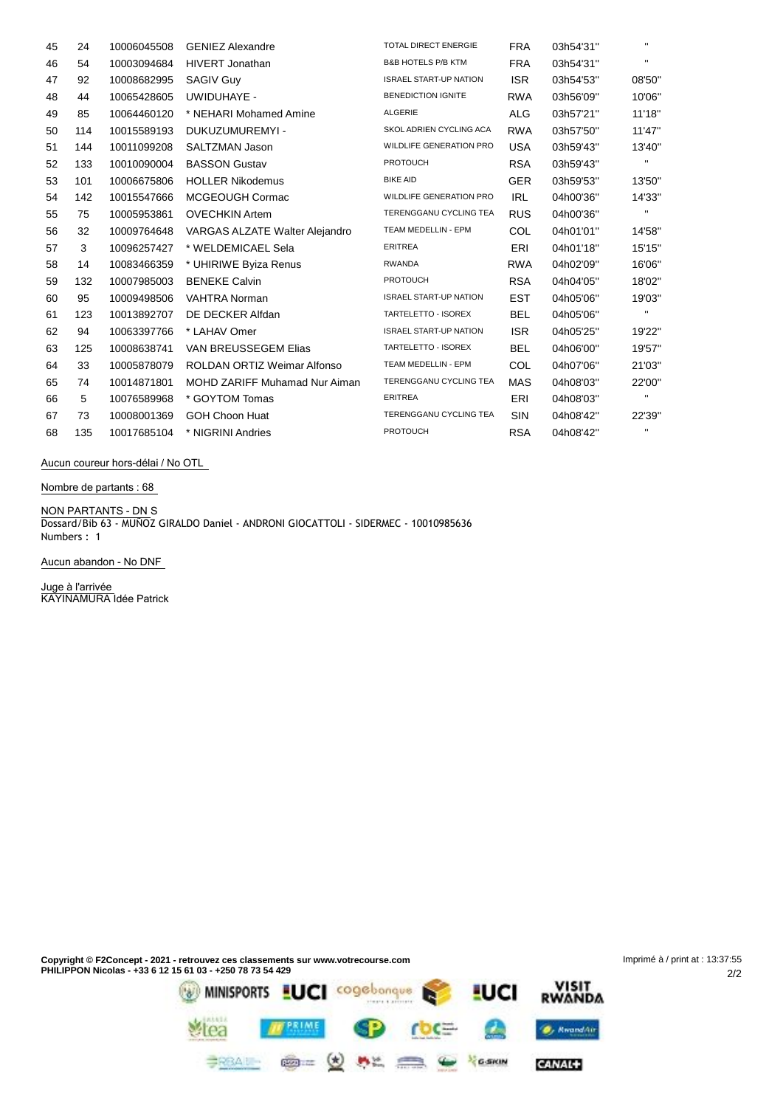| 45 | 24  | 10006045508 | <b>GENIEZ Alexandre</b>              | <b>TOTAL DIRECT ENERGIE</b>    | <b>FRA</b> | 03h54'31" | $\mathbf{H}$   |
|----|-----|-------------|--------------------------------------|--------------------------------|------------|-----------|----------------|
| 46 | 54  | 10003094684 | <b>HIVERT Jonathan</b>               | <b>B&amp;B HOTELS P/B KTM</b>  | <b>FRA</b> | 03h54'31" | $\mathbf{H}$   |
| 47 | 92  | 10008682995 | <b>SAGIV Guy</b>                     | <b>ISRAEL START-UP NATION</b>  | <b>ISR</b> | 03h54'53" | 08'50"         |
| 48 | 44  | 10065428605 | UWIDUHAYE -                          | <b>BENEDICTION IGNITE</b>      | <b>RWA</b> | 03h56'09" | 10'06"         |
| 49 | 85  | 10064460120 | * NEHARI Mohamed Amine               | ALGERIE                        | <b>ALG</b> | 03h57'21" | 11'18"         |
| 50 | 114 | 10015589193 | DUKUZUMUREMYI -                      | SKOL ADRIEN CYCLING ACA        | <b>RWA</b> | 03h57'50" | 11'47"         |
| 51 | 144 | 10011099208 | SALTZMAN Jason                       | <b>WILDLIFE GENERATION PRO</b> | <b>USA</b> | 03h59'43" | 13'40"         |
| 52 | 133 | 10010090004 | <b>BASSON Gustav</b>                 | <b>PROTOUCH</b>                | <b>RSA</b> | 03h59'43" | п.             |
| 53 | 101 | 10006675806 | <b>HOLLER Nikodemus</b>              | <b>BIKE AID</b>                | <b>GER</b> | 03h59'53" | 13'50"         |
| 54 | 142 | 10015547666 | MCGEOUGH Cormac                      | <b>WILDLIFE GENERATION PRO</b> | <b>IRL</b> | 04h00'36" | 14'33"         |
| 55 | 75  | 10005953861 | <b>OVECHKIN Artem</b>                | TERENGGANU CYCLING TEA         | <b>RUS</b> | 04h00'36" | $\mathbf{H}$   |
| 56 | 32  | 10009764648 | VARGAS ALZATE Walter Alejandro       | TEAM MEDELLIN - EPM            | <b>COL</b> | 04h01'01" | 14'58"         |
| 57 | 3   | 10096257427 | * WELDEMICAEL Sela                   | <b>ERITREA</b>                 | ERI        | 04h01'18" | 15'15"         |
| 58 | 14  | 10083466359 | * UHIRIWE Byiza Renus                | <b>RWANDA</b>                  | <b>RWA</b> | 04h02'09" | 16'06"         |
| 59 | 132 | 10007985003 | <b>BENEKE Calvin</b>                 | <b>PROTOUCH</b>                | <b>RSA</b> | 04h04'05" | 18'02"         |
| 60 | 95  | 10009498506 | <b>VAHTRA Norman</b>                 | <b>ISRAEL START-UP NATION</b>  | <b>EST</b> | 04h05'06" | 19'03"         |
| 61 | 123 | 10013892707 | DE DECKER Alfdan                     | TARTELETTO - ISOREX            | <b>BEL</b> | 04h05'06" | п.             |
| 62 | 94  | 10063397766 | * LAHAV Omer                         | <b>ISRAEL START-UP NATION</b>  | <b>ISR</b> | 04h05'25" | 19'22"         |
| 63 | 125 | 10008638741 | VAN BREUSSEGEM Elias                 | TARTELETTO - ISOREX            | <b>BEL</b> | 04h06'00" | 19'57"         |
| 64 | 33  | 10005878079 | <b>ROLDAN ORTIZ Weimar Alfonso</b>   | TEAM MEDELLIN - EPM            | COL        | 04h07'06" | 21'03"         |
| 65 | 74  | 10014871801 | <b>MOHD ZARIFF Muhamad Nur Aiman</b> | TERENGGANU CYCLING TEA         | MAS        | 04h08'03" | 22'00"         |
| 66 | 5   | 10076589968 | * GOYTOM Tomas                       | <b>ERITREA</b>                 | ERI        | 04h08'03" | $\mathbf{H}$   |
| 67 | 73  | 10008001369 | <b>GOH Choon Huat</b>                | TERENGGANU CYCLING TEA         | <b>SIN</b> | 04h08'42" | 22'39"         |
| 68 | 135 | 10017685104 | * NIGRINI Andries                    | <b>PROTOUCH</b>                | <b>RSA</b> | 04h08'42" | $\blacksquare$ |

**Aucun coureur hors-délai / No OTL**

**Nombre de partants : 68**

**NON PARTANTS - DN** S Dossard/Bib 63 - MUÑOZ GIRALDO Daniel - ANDRONI GIOCATTOLI - SIDERMEC - 10010985636 Numbers : 1

**Aucun abandon - No DNF**

**Juge à l'arrivée** KAYINAMURA Idée Patrick

**Copyright © F2Concept - 2021 - retrouvez ces classements sur www.votrecourse.com** Imprimé à / print at : 13:37:55**PHILIPPON Nicolas - +33 6 12 15 61 03 - +250 78 73 54 429** 2/2 VISIT<br>RWANDA

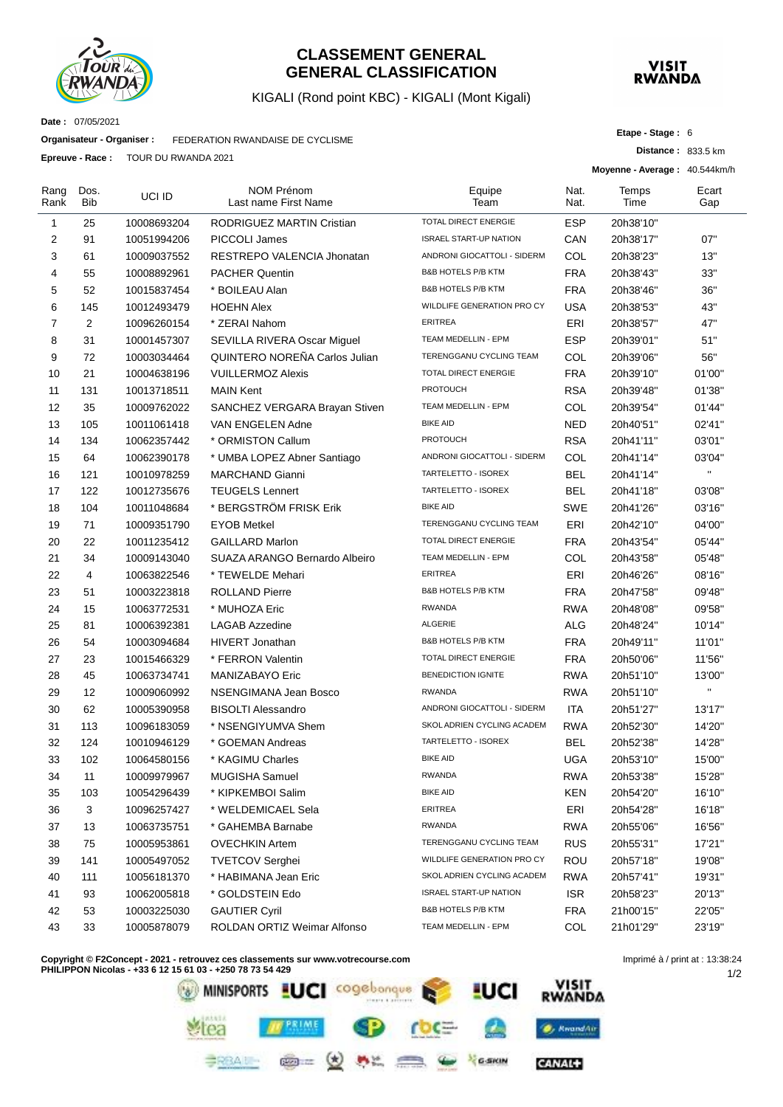

#### **CLASSEMENT GENERAL GENERAL CLASSIFICATION**

#### KIGALI (Rond point KBC) - KIGALI (Mont Kigali)



**Etape - Stage :** 6

**Distance :** 833.5 km

**Date :** 07/05/2021

**Organisateur - Organiser :** FEDERATION RWANDAISE DE CYCLISME

**Epreuve - Race :** TOUR DU RWANDA 2021

|                | L DI CUVC - NAVC.  | <b>I UUN DU NIVAIVUA ZUZ I</b> |                                           |                               |              | Moyenne - Average: 40.544km/h |              |
|----------------|--------------------|--------------------------------|-------------------------------------------|-------------------------------|--------------|-------------------------------|--------------|
| Rang<br>Rank   | Dos.<br><b>Bib</b> | UCI ID                         | <b>NOM Prénom</b><br>Last name First Name | Equipe<br>Team                | Nat.<br>Nat. | Temps<br>Time                 | Ecart<br>Gap |
| 1              | 25                 | 10008693204                    | <b>RODRIGUEZ MARTIN Cristian</b>          | TOTAL DIRECT ENERGIE          | <b>ESP</b>   | 20h38'10"                     |              |
| 2              | 91                 | 10051994206                    | PICCOLI James                             | <b>ISRAEL START-UP NATION</b> | CAN          | 20h38'17"                     | 07"          |
| 3              | 61                 | 10009037552                    | RESTREPO VALENCIA Jhonatan                | ANDRONI GIOCATTOLI - SIDERM   | COL          | 20h38'23"                     | 13"          |
| 4              | 55                 | 10008892961                    | <b>PACHER Quentin</b>                     | <b>B&amp;B HOTELS P/B KTM</b> | <b>FRA</b>   | 20h38'43"                     | 33"          |
| 5              | 52                 | 10015837454                    | * BOILEAU Alan                            | <b>B&amp;B HOTELS P/B KTM</b> | <b>FRA</b>   | 20h38'46"                     | 36"          |
| 6              | 145                | 10012493479                    | <b>HOEHN Alex</b>                         | WILDLIFE GENERATION PRO CY    | <b>USA</b>   | 20h38'53"                     | 43"          |
| $\overline{7}$ | 2                  | 10096260154                    | * ZERAI Nahom                             | <b>ERITREA</b>                | ERI          | 20h38'57"                     | 47"          |
| 8              | 31                 | 10001457307                    | SEVILLA RIVERA Oscar Miguel               | TEAM MEDELLIN - EPM           | <b>ESP</b>   | 20h39'01"                     | 51"          |
| 9              | 72                 | 10003034464                    | QUINTERO NOREÑA Carlos Julian             | TERENGGANU CYCLING TEAM       | COL          | 20h39'06"                     | 56"          |
| 10             | 21                 | 10004638196                    | <b>VUILLERMOZ Alexis</b>                  | TOTAL DIRECT ENERGIE          | <b>FRA</b>   | 20h39'10"                     | 01'00"       |
| 11             | 131                | 10013718511                    | <b>MAIN Kent</b>                          | <b>PROTOUCH</b>               | <b>RSA</b>   | 20h39'48"                     | 01'38"       |
| 12             | 35                 | 10009762022                    | SANCHEZ VERGARA Brayan Stiven             | TEAM MEDELLIN - EPM           | COL          | 20h39'54"                     | 01'44"       |
| 13             | 105                | 10011061418                    | VAN ENGELEN Adne                          | <b>BIKE AID</b>               | <b>NED</b>   | 20h40'51"                     | 02'41"       |
| 14             | 134                | 10062357442                    | * ORMISTON Callum                         | <b>PROTOUCH</b>               | <b>RSA</b>   | 20h41'11"                     | 03'01"       |
| 15             | 64                 | 10062390178                    | * UMBA LOPEZ Abner Santiago               | ANDRONI GIOCATTOLI - SIDERM   | COL          | 20h41'14"                     | 03'04"       |
| 16             | 121                | 10010978259                    | <b>MARCHAND Gianni</b>                    | TARTELETTO - ISOREX           | <b>BEL</b>   | 20h41'14"                     | $\mathbf{u}$ |
| 17             | 122                | 10012735676                    | <b>TEUGELS Lennert</b>                    | TARTELETTO - ISOREX           | <b>BEL</b>   | 20h41'18"                     | 03'08"       |
| 18             | 104                | 10011048684                    | * BERGSTRÖM FRISK Erik                    | <b>BIKE AID</b>               | SWE          | 20h41'26"                     | 03'16"       |
| 19             | 71                 | 10009351790                    | <b>EYOB Metkel</b>                        | TERENGGANU CYCLING TEAM       | ERI          | 20h42'10"                     | 04'00"       |
| 20             | 22                 | 10011235412                    | <b>GAILLARD Marlon</b>                    | <b>TOTAL DIRECT ENERGIE</b>   | <b>FRA</b>   | 20h43'54"                     | 05'44"       |
| 21             | 34                 | 10009143040                    | SUAZA ARANGO Bernardo Albeiro             | TEAM MEDELLIN - EPM           | COL          | 20h43'58"                     | 05'48"       |
| 22             | 4                  | 10063822546                    | * TEWELDE Mehari                          | <b>ERITREA</b>                | ERI          | 20h46'26"                     | 08'16"       |
| 23             | 51                 | 10003223818                    | <b>ROLLAND Pierre</b>                     | <b>B&amp;B HOTELS P/B KTM</b> | <b>FRA</b>   | 20h47'58"                     | 09'48"       |
| 24             | 15                 | 10063772531                    | * MUHOZA Eric                             | <b>RWANDA</b>                 | <b>RWA</b>   | 20h48'08"                     | 09'58"       |
| 25             | 81                 | 10006392381                    | <b>LAGAB Azzedine</b>                     | <b>ALGERIE</b>                | ALG          | 20h48'24"                     | 10'14"       |
| 26             | 54                 | 10003094684                    | <b>HIVERT Jonathan</b>                    | <b>B&amp;B HOTELS P/B KTM</b> | <b>FRA</b>   | 20h49'11"                     | 11'01"       |
| 27             | 23                 | 10015466329                    | * FERRON Valentin                         | TOTAL DIRECT ENERGIE          | <b>FRA</b>   | 20h50'06"                     | 11'56"       |
| 28             | 45                 | 10063734741                    | MANIZABAYO Eric                           | <b>BENEDICTION IGNITE</b>     | <b>RWA</b>   | 20h51'10"                     | 13'00"       |
| 29             | 12                 | 10009060992                    | NSENGIMANA Jean Bosco                     | <b>RWANDA</b>                 | <b>RWA</b>   | 20h51'10"                     | $\mathbf{u}$ |
| 30             | 62                 | 10005390958                    | <b>BISOLTI Alessandro</b>                 | ANDRONI GIOCATTOLI - SIDERM   | ITA          | 20h51'27"                     | 13'17"       |
| 31             | 113                | 10096183059                    | * NSENGIYUMVA Shem                        | SKOL ADRIEN CYCLING ACADEM    | <b>RWA</b>   | 20h52'30"                     | 14'20"       |
| 32             | 124                | 10010946129                    | * GOEMAN Andreas                          | TARTELETTO - ISOREX           | <b>BEL</b>   | 20h52'38"                     | 14'28"       |
| 33             | 102                | 10064580156                    | * KAGIMU Charles                          | <b>BIKE AID</b>               | <b>UGA</b>   | 20h53'10"                     | 15'00"       |
| 34             | 11                 | 10009979967                    | MUGISHA Samuel                            | <b>RWANDA</b>                 | <b>RWA</b>   | 20h53'38"                     | 15'28"       |
| 35             | 103                | 10054296439                    | * KIPKEMBOI Salim                         | <b>BIKE AID</b>               | <b>KEN</b>   | 20h54'20"                     | 16'10"       |
| 36             | 3                  | 10096257427                    | * WELDEMICAEL Sela                        | ERITREA                       | ERI          | 20h54'28"                     | 16'18"       |
| 37             | 13                 | 10063735751                    | * GAHEMBA Barnabe                         | <b>RWANDA</b>                 | <b>RWA</b>   | 20h55'06"                     | 16'56"       |
| 38             | 75                 | 10005953861                    | <b>OVECHKIN Artem</b>                     | TERENGGANU CYCLING TEAM       | <b>RUS</b>   | 20h55'31"                     | 17'21"       |
| 39             | 141                | 10005497052                    | <b>TVETCOV Serghei</b>                    | WILDLIFE GENERATION PRO CY    | ROU          | 20h57'18"                     | 19'08"       |
| 40             | 111                | 10056181370                    | * HABIMANA Jean Eric                      | SKOL ADRIEN CYCLING ACADEM    | <b>RWA</b>   | 20h57'41"                     | 19'31"       |
| 41             | 93                 | 10062005818                    | * GOLDSTEIN Edo                           | <b>ISRAEL START-UP NATION</b> | <b>ISR</b>   | 20h58'23"                     | 20'13"       |
| 42             | 53                 | 10003225030                    | <b>GAUTIER Cyril</b>                      | <b>B&amp;B HOTELS P/B KTM</b> | <b>FRA</b>   | 21h00'15"                     | 22'05"       |
| 43             | 33                 | 10005878079                    | ROLDAN ORTIZ Weimar Alfonso               | TEAM MEDELLIN - EPM           | COL          | 21h01'29"                     | 23'19"       |
|                |                    |                                |                                           |                               |              |                               |              |

**Copyright © F2Concept - 2021 - retrouvez ces classements sur www.votrecourse.com**



1/2 Imprimé à / print at : 13:38:24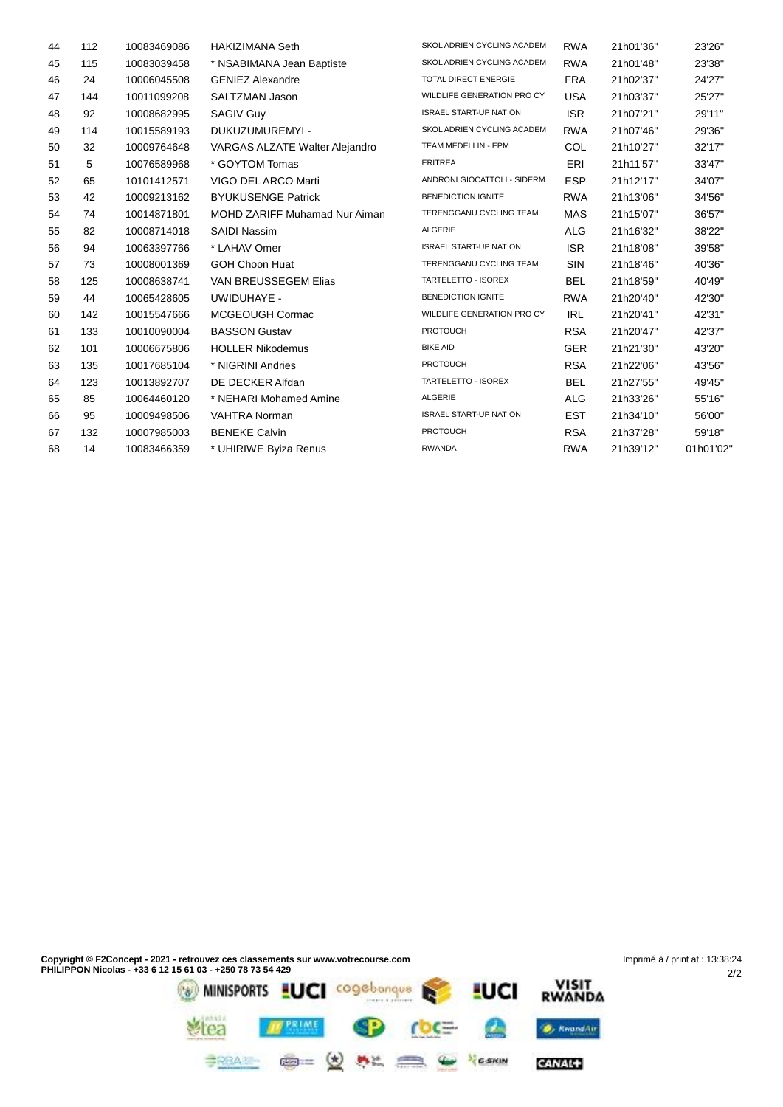| 44 | 112 | 10083469086 | <b>HAKIZIMANA Seth</b>               | SKOL ADRIEN CYCLING ACADEM    | <b>RWA</b> | 21h01'36" | 23'26"    |
|----|-----|-------------|--------------------------------------|-------------------------------|------------|-----------|-----------|
| 45 | 115 | 10083039458 | * NSABIMANA Jean Baptiste            | SKOL ADRIEN CYCLING ACADEM    | <b>RWA</b> | 21h01'48" | 23'38"    |
| 46 | 24  | 10006045508 | <b>GENIEZ Alexandre</b>              | <b>TOTAL DIRECT ENERGIE</b>   | <b>FRA</b> | 21h02'37" | 24'27"    |
| 47 | 144 | 10011099208 | <b>SALTZMAN Jason</b>                | WILDLIFE GENERATION PRO CY    | <b>USA</b> | 21h03'37" | 25'27"    |
| 48 | 92  | 10008682995 | <b>SAGIV Guy</b>                     | <b>ISRAEL START-UP NATION</b> | <b>ISR</b> | 21h07'21" | 29'11"    |
| 49 | 114 | 10015589193 | DUKUZUMUREMYI -                      | SKOL ADRIEN CYCLING ACADEM    | <b>RWA</b> | 21h07'46" | 29'36"    |
| 50 | 32  | 10009764648 | VARGAS ALZATE Walter Alejandro       | TEAM MEDELLIN - EPM           | COL        | 21h10'27" | 32'17"    |
| 51 | 5   | 10076589968 | * GOYTOM Tomas                       | <b>ERITREA</b>                | ERI        | 21h11'57" | 33'47"    |
| 52 | 65  | 10101412571 | VIGO DEL ARCO Marti                  | ANDRONI GIOCATTOLI - SIDERM   | <b>ESP</b> | 21h12'17" | 34'07"    |
| 53 | 42  | 10009213162 | <b>BYUKUSENGE Patrick</b>            | <b>BENEDICTION IGNITE</b>     | <b>RWA</b> | 21h13'06" | 34'56"    |
| 54 | 74  | 10014871801 | <b>MOHD ZARIFF Muhamad Nur Aiman</b> | TERENGGANU CYCLING TEAM       | <b>MAS</b> | 21h15'07" | 36'57"    |
| 55 | 82  | 10008714018 | SAIDI Nassim                         | ALGERIE                       | <b>ALG</b> | 21h16'32" | 38'22"    |
| 56 | 94  | 10063397766 | * LAHAV Omer                         | <b>ISRAEL START-UP NATION</b> | <b>ISR</b> | 21h18'08" | 39'58"    |
| 57 | 73  | 10008001369 | <b>GOH Choon Huat</b>                | TERENGGANU CYCLING TEAM       | <b>SIN</b> | 21h18'46" | 40'36"    |
| 58 | 125 | 10008638741 | VAN BREUSSEGEM Elias                 | TARTELETTO - ISOREX           | <b>BEL</b> | 21h18'59" | 40'49"    |
| 59 | 44  | 10065428605 | UWIDUHAYE -                          | <b>BENEDICTION IGNITE</b>     | <b>RWA</b> | 21h20'40" | 42'30"    |
| 60 | 142 | 10015547666 | MCGEOUGH Cormac                      | WILDLIFE GENERATION PRO CY    | <b>IRL</b> | 21h20'41" | 42'31"    |
| 61 | 133 | 10010090004 | <b>BASSON Gustav</b>                 | <b>PROTOUCH</b>               | <b>RSA</b> | 21h20'47" | 42'37"    |
| 62 | 101 | 10006675806 | <b>HOLLER Nikodemus</b>              | <b>BIKE AID</b>               | <b>GER</b> | 21h21'30" | 43'20"    |
| 63 | 135 | 10017685104 | * NIGRINI Andries                    | <b>PROTOUCH</b>               | <b>RSA</b> | 21h22'06" | 43'56"    |
| 64 | 123 | 10013892707 | DE DECKER Alfdan                     | TARTELETTO - ISOREX           | <b>BEL</b> | 21h27'55" | 49'45"    |
| 65 | 85  | 10064460120 | * NEHARI Mohamed Amine               | <b>ALGERIE</b>                | <b>ALG</b> | 21h33'26" | 55'16"    |
| 66 | 95  | 10009498506 | <b>VAHTRA Norman</b>                 | <b>ISRAEL START-UP NATION</b> | <b>EST</b> | 21h34'10" | 56'00"    |
| 67 | 132 | 10007985003 | <b>BENEKE Calvin</b>                 | <b>PROTOUCH</b>               | <b>RSA</b> | 21h37'28" | 59'18"    |
| 68 | 14  | 10083466359 | * UHIRIWE Byiza Renus                | <b>RWANDA</b>                 | <b>RWA</b> | 21h39'12" | 01h01'02' |
|    |     |             |                                      |                               |            |           |           |

CANAL+

**BRAIN @= (d) AL CO & Yearn**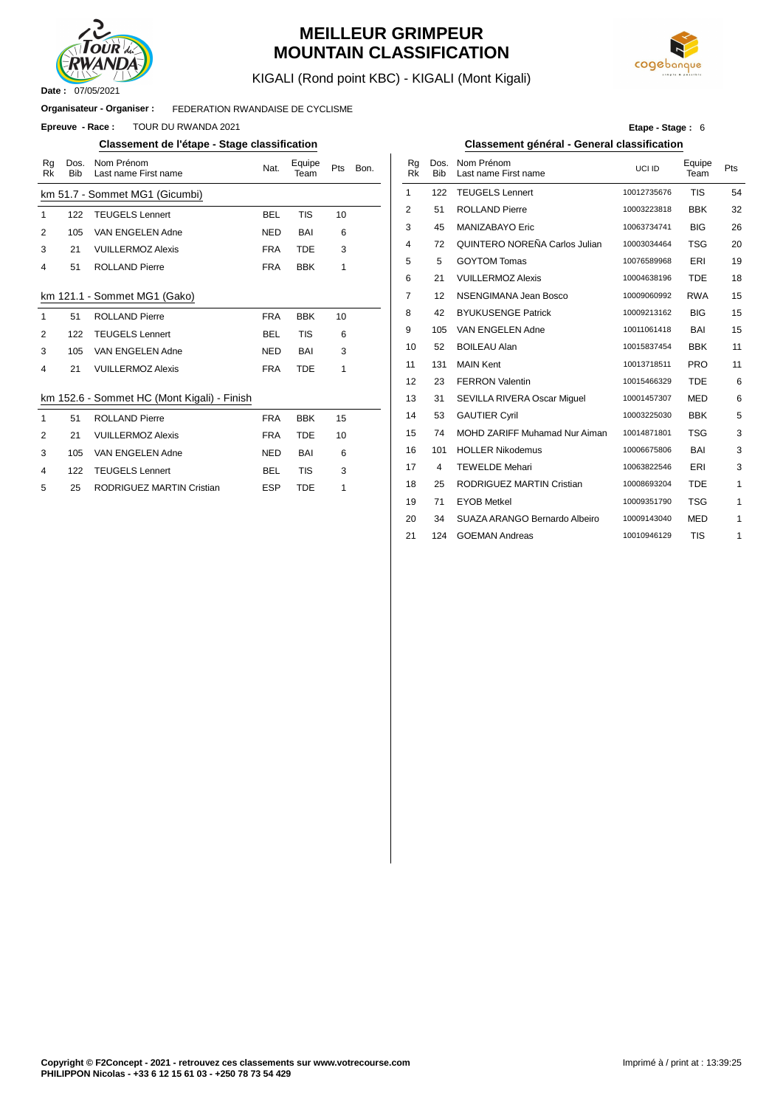

### **MEILLEUR GRIMPEUR MOUNTAIN CLASSIFICATION**



KIGALI (Rond point KBC) - KIGALI (Mont Kigali)

#### FEDERATION RWANDAISE DE CYCLISME **Organisateur - Organiser :**

**Epreuve - Race : TOUR DU RWANDA 2021** 

#### **Classement de l'étape - Stage classification Classement général - General classification**

| Rg           | Dos.       | Nom Prénom                                  | Nat.       | Equipe     | Pts | Bon. |                | Rg        | Dos.       | Nom Prénom             |
|--------------|------------|---------------------------------------------|------------|------------|-----|------|----------------|-----------|------------|------------------------|
| <b>Rk</b>    | <b>Bib</b> | Last name First name                        |            | Team       |     |      |                | <b>Rk</b> | <b>Bib</b> | Last name First na     |
|              |            | km 51.7 - Sommet MG1 (Gicumbi)              |            |            |     |      | 1              |           | 122        | <b>TEUGELS Lenner</b>  |
| 1            | 122        | <b>TEUGELS Lennert</b>                      | <b>BEL</b> | <b>TIS</b> | 10  |      | $\overline{2}$ |           | 51         | <b>ROLLAND Pierre</b>  |
| 2            | 105        | VAN ENGELEN Adne                            | <b>NED</b> | <b>BAI</b> | 6   |      | 3              |           | 45         | MANIZABAYO Eri         |
| 3            | 21         | <b>VUILLERMOZ Alexis</b>                    | <b>FRA</b> | <b>TDE</b> | 3   |      | 4              |           | 72         | <b>QUINTERO NORE</b>   |
| 4            | 51         | <b>ROLLAND Pierre</b>                       | <b>FRA</b> | <b>BBK</b> | 1   |      | 5              |           | 5          | <b>GOYTOM Tomas</b>    |
|              |            |                                             |            |            |     |      | 6              |           | 21         | <b>VUILLERMOZ Ale</b>  |
|              |            | km 121.1 - Sommet MG1 (Gako)                |            |            |     |      | $\overline{7}$ |           | 12         | <b>NSENGIMANA Je</b>   |
| $\mathbf{1}$ | 51         | <b>ROLLAND Pierre</b>                       | <b>FRA</b> | <b>BBK</b> | 10  |      | 8              |           | 42         | <b>BYUKUSENGE Pa</b>   |
| 2            | 122        | <b>TEUGELS Lennert</b>                      | <b>BEL</b> | <b>TIS</b> | 6   |      | 9              |           | 105        | VAN ENGELEN A          |
| 3            | 105        | VAN ENGELEN Adne                            | <b>NED</b> | <b>BAI</b> | 3   |      | 10             |           | 52         | <b>BOILEAU Alan</b>    |
| 4            | 21         | <b>VUILLERMOZ Alexis</b>                    | <b>FRA</b> | <b>TDE</b> | 1   |      | 11             |           | 131        | <b>MAIN Kent</b>       |
|              |            |                                             |            |            |     |      | 12             |           | 23         | <b>FERRON Valentin</b> |
|              |            | km 152.6 - Sommet HC (Mont Kigali) - Finish |            |            |     |      | 13             |           | 31         | <b>SEVILLA RIVERA</b>  |
| $\mathbf{1}$ | 51         | <b>ROLLAND Pierre</b>                       | <b>FRA</b> | <b>BBK</b> | 15  |      | 14             |           | 53         | <b>GAUTIER Cyril</b>   |
| 2            | 21         | <b>VUILLERMOZ Alexis</b>                    | <b>FRA</b> | <b>TDE</b> | 10  |      | 15             |           | 74         | <b>MOHD ZARIFF M</b>   |
| 3            | 105        | VAN ENGELEN Adne                            | <b>NED</b> | BAI        | 6   |      | 16             |           | 101        | <b>HOLLER Nikodem</b>  |
| 4            | 122        | <b>TEUGELS Lennert</b>                      | <b>BEL</b> | <b>TIS</b> | 3   |      | 17             |           | 4          | <b>TEWELDE Mehari</b>  |
| 5            | 25         | <b>RODRIGUEZ MARTIN Cristian</b>            | <b>ESP</b> | <b>TDE</b> | 1   |      | 18             |           | 25         | <b>RODRIGUEZ MAR</b>   |
|              |            |                                             |            |            |     |      |                |           |            |                        |

**Etape - Stage :** 6

| Nom Prénom<br>Last name First name | Nat.       | Equipe<br>Team | Pts | Bon. | Rq<br><b>Rk</b> | Dos.<br><b>Bib</b> | Nom Prénom<br>Last name First name   | UCI ID      | Equipe<br>Team | Pts |
|------------------------------------|------------|----------------|-----|------|-----------------|--------------------|--------------------------------------|-------------|----------------|-----|
| ommet MG1 (Gicumbi)                |            |                |     |      | 1               | 122                | <b>TEUGELS Lennert</b>               | 10012735676 | <b>TIS</b>     | 54  |
| <b>TEUGELS Lennert</b>             | <b>BEL</b> | <b>TIS</b>     | 10  |      | 2               | 51                 | <b>ROLLAND Pierre</b>                | 10003223818 | <b>BBK</b>     | 32  |
| VAN ENGELEN Adne                   | <b>NED</b> | BAI            | 6   |      | 3               | 45                 | MANIZABAYO Eric                      | 10063734741 | <b>BIG</b>     | 26  |
| <b>VUILLERMOZ Alexis</b>           | <b>FRA</b> | <b>TDE</b>     | 3   |      | 4               | 72                 | QUINTERO NOREÑA Carlos Julian        | 10003034464 | <b>TSG</b>     | 20  |
| <b>ROLLAND Pierre</b>              | <b>FRA</b> | <b>BBK</b>     | 1   |      | 5               | 5                  | <b>GOYTOM Tomas</b>                  | 10076589968 | ERI            | 19  |
|                                    |            |                |     |      | 6               | 21                 | <b>VUILLERMOZ Alexis</b>             | 10004638196 | <b>TDE</b>     | 18  |
| Sommet MG1 (Gako)                  |            |                |     |      | 7               | 12                 | NSENGIMANA Jean Bosco                | 10009060992 | <b>RWA</b>     | 15  |
| <b>ROLLAND Pierre</b>              | <b>FRA</b> | <b>BBK</b>     | 10  |      | 8               | 42                 | <b>BYUKUSENGE Patrick</b>            | 10009213162 | <b>BIG</b>     | 15  |
| <b>TEUGELS Lennert</b>             | <b>BEL</b> | <b>TIS</b>     | 6   |      | 9               | 105                | VAN ENGELEN Adne                     | 10011061418 | BAI            | 15  |
| VAN ENGELEN Adne                   | <b>NED</b> | BAI            | 3   |      | 10              | 52                 | <b>BOILEAU Alan</b>                  | 10015837454 | <b>BBK</b>     | 11  |
| <b>VUILLERMOZ Alexis</b>           | <b>FRA</b> | <b>TDE</b>     | 1   |      | 11              | 131                | <b>MAIN Kent</b>                     | 10013718511 | <b>PRO</b>     | 11  |
|                                    |            |                |     |      | 12              | 23                 | <b>FERRON Valentin</b>               | 10015466329 | <b>TDE</b>     | 6   |
| Sommet HC (Mont Kigali) - Finish   |            |                |     |      | 13              | 31                 | SEVILLA RIVERA Oscar Miquel          | 10001457307 | <b>MED</b>     | 6   |
| <b>ROLLAND Pierre</b>              | <b>FRA</b> | <b>BBK</b>     | 15  |      | 14              | 53                 | <b>GAUTIER Cyril</b>                 | 10003225030 | <b>BBK</b>     | 5   |
| <b>VUILLERMOZ Alexis</b>           | <b>FRA</b> | <b>TDE</b>     | 10  |      | 15              | 74                 | <b>MOHD ZARIFF Muhamad Nur Aiman</b> | 10014871801 | <b>TSG</b>     | 3   |
| VAN ENGELEN Adne                   | <b>NED</b> | BAI            | 6   |      | 16              | 101                | <b>HOLLER Nikodemus</b>              | 10006675806 | <b>BAI</b>     | 3   |
| <b>TEUGELS Lennert</b>             | <b>BEL</b> | <b>TIS</b>     | 3   |      | 17              | 4                  | <b>TEWELDE Mehari</b>                | 10063822546 | ERI            | 3   |
| RODRIGUEZ MARTIN Cristian          | <b>ESP</b> | <b>TDE</b>     | 1   |      | 18              | 25                 | <b>RODRIGUEZ MARTIN Cristian</b>     | 10008693204 | <b>TDE</b>     | 1   |
|                                    |            |                |     |      | 19              | 71                 | <b>EYOB Metkel</b>                   | 10009351790 | <b>TSG</b>     | 1   |
|                                    |            |                |     |      | 20              | 34                 | SUAZA ARANGO Bernardo Albeiro        | 10009143040 | <b>MED</b>     | 1   |
|                                    |            |                |     |      | 21              | 124                | <b>GOEMAN Andreas</b>                | 10010946129 | <b>TIS</b>     | 1   |
|                                    |            |                |     |      |                 |                    |                                      |             |                |     |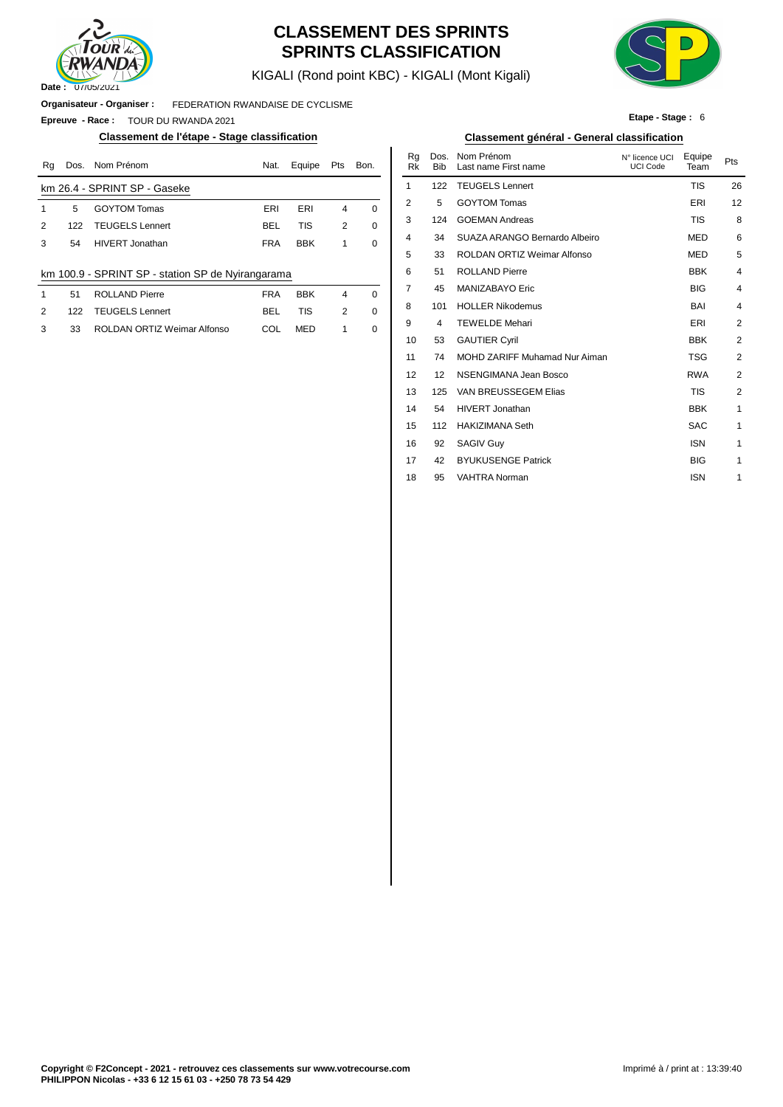

### **CLASSEMENT DES SPRINTS SPRINTS CLASSIFICATION**

KIGALI (Rond point KBC) - KIGALI (Mont Kigali)



**Etape - Stage :** 6

**Organisateur - Organiser :** FEDERATION RWANDAISE DE CYCLISME

**Epreuve - Race :** TOUR DU RWANDA 2021

#### **Classement de l'étape - Stage classification Classement général - General classification**

| Rq | Dos. | Nom Prénom                                        | Nat.       | Equipe     | Pts | Bon.        | Ra<br>Rk       | Dos.<br><b>Bib</b>            | Nom Prénom<br>Last name First name | N° licence UCI<br><b>UCI Code</b> | Equipe<br>Team | Pts |
|----|------|---------------------------------------------------|------------|------------|-----|-------------|----------------|-------------------------------|------------------------------------|-----------------------------------|----------------|-----|
|    |      | km 26.4 - SPRINT SP - Gaseke                      |            |            |     |             |                | 122                           | <b>TEUGELS Lennert</b>             |                                   | <b>TIS</b>     | 26  |
|    | 5    | <b>GOYTOM Tomas</b>                               | ERI        | ERI        | 4   | $\mathbf 0$ | 2              | 5                             | <b>GOYTOM Tomas</b>                |                                   | ERI            | 12  |
| 2  | 122  | <b>TEUGELS Lennert</b>                            | <b>BEL</b> | TIS        | 2   | $\mathbf 0$ | 3              | 124                           | <b>GOEMAN Andreas</b>              |                                   | <b>TIS</b>     | ε   |
| 3  | 54   | <b>HIVERT Jonathan</b>                            | <b>FRA</b> | <b>BBK</b> |     | 0           | 4              | 34                            | SUAZA ARANGO Bernardo Albeiro      |                                   | <b>MED</b>     | 6   |
|    |      |                                                   |            |            |     |             | 5              | 33                            | <b>ROLDAN ORTIZ Weimar Alfonso</b> |                                   | <b>MED</b>     | 5   |
|    |      | km 100.9 - SPRINT SP - station SP de Nyirangarama |            |            |     |             | 6              | 51                            | <b>ROLLAND Pierre</b>              |                                   | <b>BBK</b>     |     |
|    | 51   | <b>ROLLAND Pierre</b>                             | <b>FRA</b> | <b>BBK</b> | 4   | $\Omega$    |                | 45                            | MANIZABAYO Eric                    |                                   | <b>BIG</b>     |     |
| 2  | 122  | <b>TEUGELS Lennert</b>                            | <b>BEL</b> | <b>TIS</b> | 2   | 0           | 8              | 101                           | <b>HOLLER Nikodemus</b>            |                                   | BAI            |     |
| 3  | 33   | ROLDAN ORTIZ Weimar Alfonso                       | COL        | <b>MED</b> |     | 0           | 9              | 4                             | <b>TEWELDE Mehari</b>              |                                   | ERI            | 2   |
|    |      |                                                   |            |            |     |             | 10             | 53                            | <b>GAUTIER Cyril</b>               |                                   | <b>BBK</b>     | 2   |
|    |      |                                                   |            |            |     |             | $\overline{A}$ | $\overline{ }$ $\overline{ }$ | $M \cap H \cap T$                  |                                   | $T^{\wedge}$   |     |

| Nat.       | Equipe     | Pts            | Bon.        | Rq<br><b>Rk</b> | Dos.<br><b>Bib</b> | Nom Prénom<br>Last name First name | N° licence UCI<br><b>UCI Code</b> | Equipe<br>Team | Pts            |
|------------|------------|----------------|-------------|-----------------|--------------------|------------------------------------|-----------------------------------|----------------|----------------|
|            |            |                |             | 1               | 122                | <b>TEUGELS Lennert</b>             |                                   | <b>TIS</b>     | 26             |
| ERI        | ERI        | $\overline{4}$ | $\Omega$    | $\overline{2}$  | 5                  | <b>GOYTOM Tomas</b>                |                                   | ERI            | 12             |
| <b>BEL</b> | <b>TIS</b> | 2              | 0           | 3               | 124                | <b>GOEMAN Andreas</b>              |                                   | <b>TIS</b>     | 8              |
| FRA        | <b>BBK</b> | 1              | $\Omega$    | 4               | 34                 | SUAZA ARANGO Bernardo Albeiro      |                                   | <b>MED</b>     | 6              |
|            |            |                |             | 5               | 33                 | ROLDAN ORTIZ Weimar Alfonso        |                                   | <b>MED</b>     | 5              |
| arama      |            |                |             | 6               | 51                 | <b>ROLLAND Pierre</b>              |                                   | <b>BBK</b>     | 4              |
| FRA        | <b>BBK</b> | $\overline{4}$ | $\Omega$    | $\overline{7}$  | 45                 | MANIZABAYO Eric                    |                                   | <b>BIG</b>     | 4              |
| BEL        | <b>TIS</b> | 2              | $\mathbf 0$ | 8               | 101                | <b>HOLLER Nikodemus</b>            |                                   | BAI            | $\overline{4}$ |
| COL        | <b>MED</b> | 1              | 0           | 9               | 4                  | <b>TEWELDE Mehari</b>              |                                   | ERI            | 2              |
|            |            |                |             | 10              | 53                 | <b>GAUTIER Cyril</b>               |                                   | <b>BBK</b>     | $\overline{2}$ |
|            |            |                |             | 11              | 74                 | MOHD ZARIFF Muhamad Nur Aiman      |                                   | <b>TSG</b>     | 2              |
|            |            |                |             | 12              | 12                 | NSENGIMANA Jean Bosco              |                                   | <b>RWA</b>     | $\overline{2}$ |
|            |            |                |             | 13              | 125                | VAN BREUSSEGEM Elias               |                                   | <b>TIS</b>     | $\overline{2}$ |
|            |            |                |             | 14              | 54                 | <b>HIVERT Jonathan</b>             |                                   | <b>BBK</b>     | 1              |
|            |            |                |             | 15              | 112                | <b>HAKIZIMANA Seth</b>             |                                   | <b>SAC</b>     | 1              |
|            |            |                |             | 16              | 92                 | <b>SAGIV Guy</b>                   |                                   | <b>ISN</b>     | 1              |
|            |            |                |             | 17              | 42                 | <b>BYUKUSENGE Patrick</b>          |                                   | <b>BIG</b>     | 1              |
|            |            |                |             | 18              | 95                 | <b>VAHTRA Norman</b>               |                                   | <b>ISN</b>     | 1              |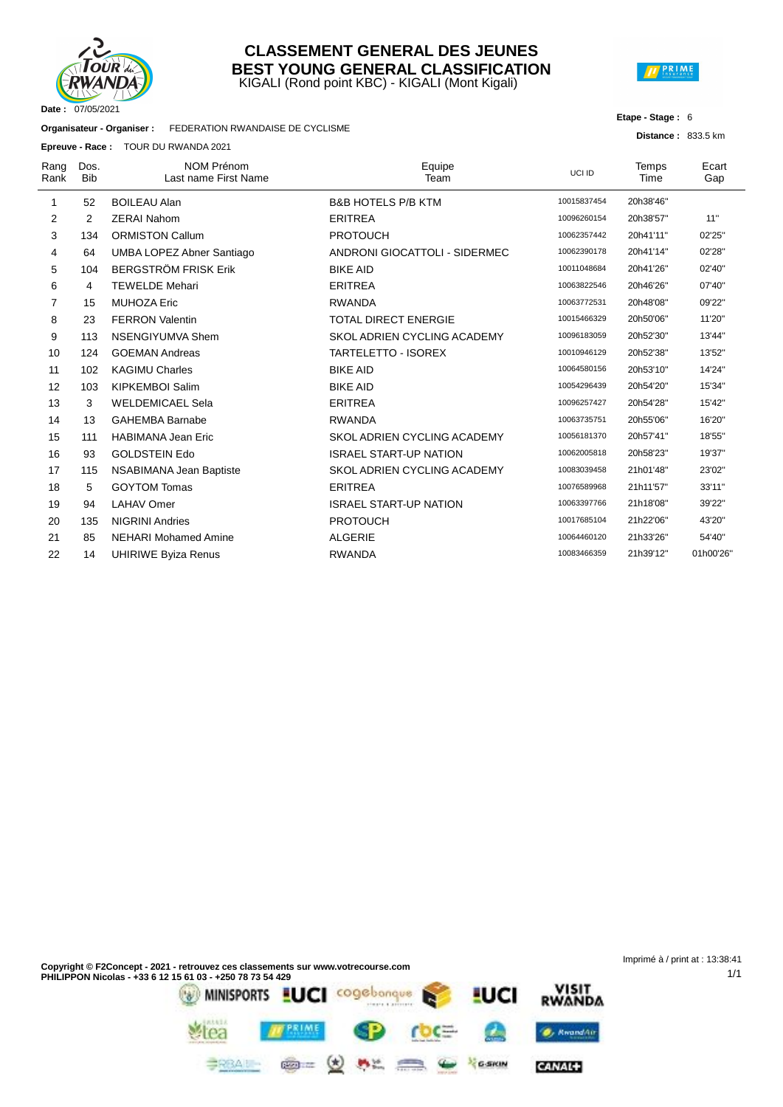

#### KIGALI (Rond point KBC) - KIGALI (Mont Kigali) **CLASSEMENT GENERAL DES JEUNES BEST YOUNG GENERAL CLASSIFICATION**



#### **Etape - Stage :** 6

**Distance :** 833.5 km

1/1

| Organisateur - Organiser : | FEDERATION RWANDAISE DE CYCLISME |
|----------------------------|----------------------------------|

**Epreuve - Race :** TOUR DU RWANDA 2021

|              |                    | <b>Epreuve - Race :</b> IOUR DU RWANDA 2021 |                               |             |                      |              |
|--------------|--------------------|---------------------------------------------|-------------------------------|-------------|----------------------|--------------|
| Rang<br>Rank | Dos.<br><b>Bib</b> | <b>NOM Prénom</b><br>Last name First Name   | Equipe<br>Team                | UCI ID      | <b>Temps</b><br>Time | Ecart<br>Gap |
| 1            | 52                 | <b>BOILEAU Alan</b>                         | <b>B&amp;B HOTELS P/B KTM</b> | 10015837454 | 20h38'46"            |              |
| 2            | 2                  | <b>ZERAI Nahom</b>                          | <b>ERITREA</b>                | 10096260154 | 20h38'57"            | 11"          |
| 3            | 134                | <b>ORMISTON Callum</b>                      | <b>PROTOUCH</b>               | 10062357442 | 20h41'11"            | 02'25"       |
| 4            | 64                 | UMBA LOPEZ Abner Santiago                   | ANDRONI GIOCATTOLI - SIDERMEC | 10062390178 | 20h41'14"            | 02'28"       |
| 5            | 104                | <b>BERGSTRÖM FRISK Erik</b>                 | <b>BIKE AID</b>               | 10011048684 | 20h41'26"            | 02'40"       |
| 6            | 4                  | <b>TEWELDE Mehari</b>                       | <b>ERITREA</b>                | 10063822546 | 20h46'26"            | 07'40"       |
| 7            | 15                 | <b>MUHOZA Eric</b>                          | <b>RWANDA</b>                 | 10063772531 | 20h48'08"            | 09'22"       |
| 8            | 23                 | <b>FERRON Valentin</b>                      | <b>TOTAL DIRECT ENERGIE</b>   | 10015466329 | 20h50'06"            | 11'20"       |
| 9            | 113                | NSENGIYUMVA Shem                            | SKOL ADRIEN CYCLING ACADEMY   | 10096183059 | 20h52'30"            | 13'44"       |
| 10           | 124                | <b>GOEMAN Andreas</b>                       | <b>TARTELETTO - ISOREX</b>    | 10010946129 | 20h52'38"            | 13'52"       |
| 11           | 102                | <b>KAGIMU Charles</b>                       | <b>BIKE AID</b>               | 10064580156 | 20h53'10"            | 14'24"       |
| 12           | 103                | <b>KIPKEMBOI Salim</b>                      | <b>BIKE AID</b>               | 10054296439 | 20h54'20"            | 15'34"       |
| 13           | 3                  | <b>WELDEMICAEL Sela</b>                     | <b>ERITREA</b>                | 10096257427 | 20h54'28"            | 15'42"       |
| 14           | 13                 | <b>GAHEMBA Barnabe</b>                      | <b>RWANDA</b>                 | 10063735751 | 20h55'06"            | 16'20"       |
| 15           | 111                | <b>HABIMANA Jean Eric</b>                   | SKOL ADRIEN CYCLING ACADEMY   | 10056181370 | 20h57'41"            | 18'55"       |
| 16           | 93                 | <b>GOLDSTEIN Edo</b>                        | <b>ISRAEL START-UP NATION</b> | 10062005818 | 20h58'23"            | 19'37"       |
| 17           | 115                | NSABIMANA Jean Baptiste                     | SKOL ADRIEN CYCLING ACADEMY   | 10083039458 | 21h01'48"            | 23'02"       |
| 18           | 5                  | <b>GOYTOM Tomas</b>                         | <b>ERITREA</b>                | 10076589968 | 21h11'57"            | 33'11"       |
| 19           | 94                 | <b>LAHAV Omer</b>                           | <b>ISRAEL START-UP NATION</b> | 10063397766 | 21h18'08"            | 39'22"       |
| 20           | 135                | <b>NIGRINI Andries</b>                      | <b>PROTOUCH</b>               | 10017685104 | 21h22'06"            | 43'20"       |
| 21           | 85                 | <b>NEHARI Mohamed Amine</b>                 | <b>ALGERIE</b>                | 10064460120 | 21h33'26"            | 54'40"       |
| 22           | 14                 | <b>UHIRIWE Byiza Renus</b>                  | <b>RWANDA</b>                 | 10083466359 | 21h39'12"            | 01h00'26"    |
|              |                    |                                             |                               |             |                      |              |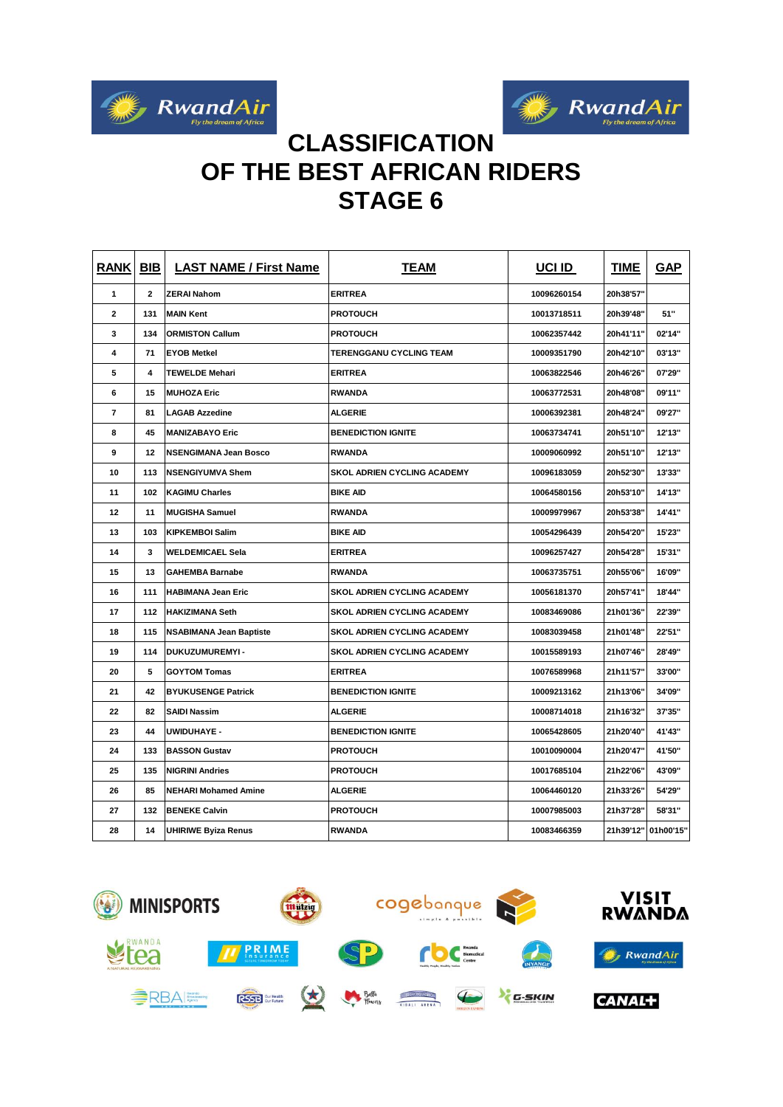



## **CLASSIFICATION OF THE BEST AFRICAN RIDERS STAGE 6**

| <b>RANK BIB</b>          |              | <b>LAST NAME / First Name</b>  | <b>TEAM</b>                        | <b>UCI ID</b> | <b>TIME</b> | <b>GAP</b> |
|--------------------------|--------------|--------------------------------|------------------------------------|---------------|-------------|------------|
| $\mathbf{1}$             | $\mathbf{2}$ | <b>ZERAI Nahom</b>             | <b>ERITREA</b>                     | 10096260154   | 20h38'57"   |            |
| $\mathbf{2}$             | 131          | <b>MAIN Kent</b>               | <b>PROTOUCH</b>                    | 10013718511   | 20h39'48"   | 51"        |
| 3                        | 134          | <b>ORMISTON Callum</b>         | <b>PROTOUCH</b>                    | 10062357442   | 20h41'11"   | 02'14"     |
| 4                        | 71           | <b>EYOB Metkel</b>             | <b>TERENGGANU CYCLING TEAM</b>     | 10009351790   | 20h42'10"   | 03'13"     |
| 5                        | 4            | <b>TEWELDE Mehari</b>          | <b>ERITREA</b>                     | 10063822546   | 20h46'26"   | 07'29"     |
| 6                        | 15           | <b>MUHOZA Eric</b>             | <b>RWANDA</b>                      | 10063772531   | 20h48'08"   | 09'11"     |
| $\overline{\phantom{a}}$ | 81           | <b>LAGAB Azzedine</b>          | <b>ALGERIE</b>                     | 10006392381   | 20h48'24"   | 09'27"     |
| 8                        | 45           | <b>MANIZABAYO Eric</b>         | <b>BENEDICTION IGNITE</b>          | 10063734741   | 20h51'10"   | 12'13"     |
| 9                        | 12           | <b>NSENGIMANA Jean Bosco</b>   | <b>RWANDA</b>                      | 10009060992   | 20h51'10"   | 12'13"     |
| 10                       | 113          | <b>NSENGIYUMVA Shem</b>        | <b>SKOL ADRIEN CYCLING ACADEMY</b> | 10096183059   | 20h52'30"   | 13'33"     |
| 11                       | 102          | <b>KAGIMU Charles</b>          | <b>BIKE AID</b>                    | 10064580156   | 20h53'10"   | 14'13"     |
| 12                       | 11           | <b>MUGISHA Samuel</b>          | <b>RWANDA</b>                      | 10009979967   | 20h53'38"   | 14'41"     |
| 13                       | 103          | <b>KIPKEMBOI Salim</b>         | <b>BIKE AID</b>                    | 10054296439   | 20h54'20"   | 15'23"     |
| 14                       | 3            | <b>WELDEMICAEL Sela</b>        | <b>ERITREA</b>                     | 10096257427   | 20h54'28"   | 15'31"     |
| 15                       | 13           | <b>GAHEMBA Barnabe</b>         | <b>RWANDA</b>                      | 10063735751   | 20h55'06"   | 16'09"     |
| 16                       | 111          | <b>HABIMANA Jean Eric</b>      | <b>SKOL ADRIEN CYCLING ACADEMY</b> | 10056181370   | 20h57'41"   | 18'44"     |
| 17                       | 112          | <b>HAKIZIMANA Seth</b>         | <b>SKOL ADRIEN CYCLING ACADEMY</b> | 10083469086   | 21h01'36"   | 22'39"     |
| 18                       | 115          | <b>NSABIMANA Jean Baptiste</b> | SKOL ADRIEN CYCLING ACADEMY        | 10083039458   | 21h01'48"   | 22'51"     |
| 19                       | 114          | DUKUZUMUREMYI-                 | SKOL ADRIEN CYCLING ACADEMY        | 10015589193   | 21h07'46"   | 28'49"     |
| 20                       | 5            | <b>GOYTOM Tomas</b>            | <b>ERITREA</b>                     | 10076589968   | 21h11'57"   | 33'00"     |
| 21                       | 42           | <b>BYUKUSENGE Patrick</b>      | <b>BENEDICTION IGNITE</b>          | 10009213162   | 21h13'06"   | 34'09"     |
| 22                       | 82           | <b>SAIDI Nassim</b>            | <b>ALGERIE</b>                     | 10008714018   | 21h16'32"   | 37'35"     |
| 23                       | 44           | <b>UWIDUHAYE -</b>             | <b>BENEDICTION IGNITE</b>          | 10065428605   | 21h20'40"   | 41'43"     |
| 24                       | 133          | <b>BASSON Gustav</b>           | <b>PROTOUCH</b>                    | 10010090004   | 21h20'47"   | 41'50"     |
| 25                       | 135          | <b>NIGRINI Andries</b>         | <b>PROTOUCH</b>                    | 10017685104   | 21h22'06"   | 43'09"     |
| 26                       | 85           | <b>NEHARI Mohamed Amine</b>    | <b>ALGERIE</b>                     | 10064460120   | 21h33'26'   | 54'29"     |
| 27                       | 132          | <b>BENEKE Calvin</b>           | <b>PROTOUCH</b>                    | 10007985003   | 21h37'28"   | 58'31"     |
| 28                       | 14           | <b>UHIRIWE Byiza Renus</b>     | <b>RWANDA</b>                      | 10083466359   | 21h39'12"   | 01h00'15"  |

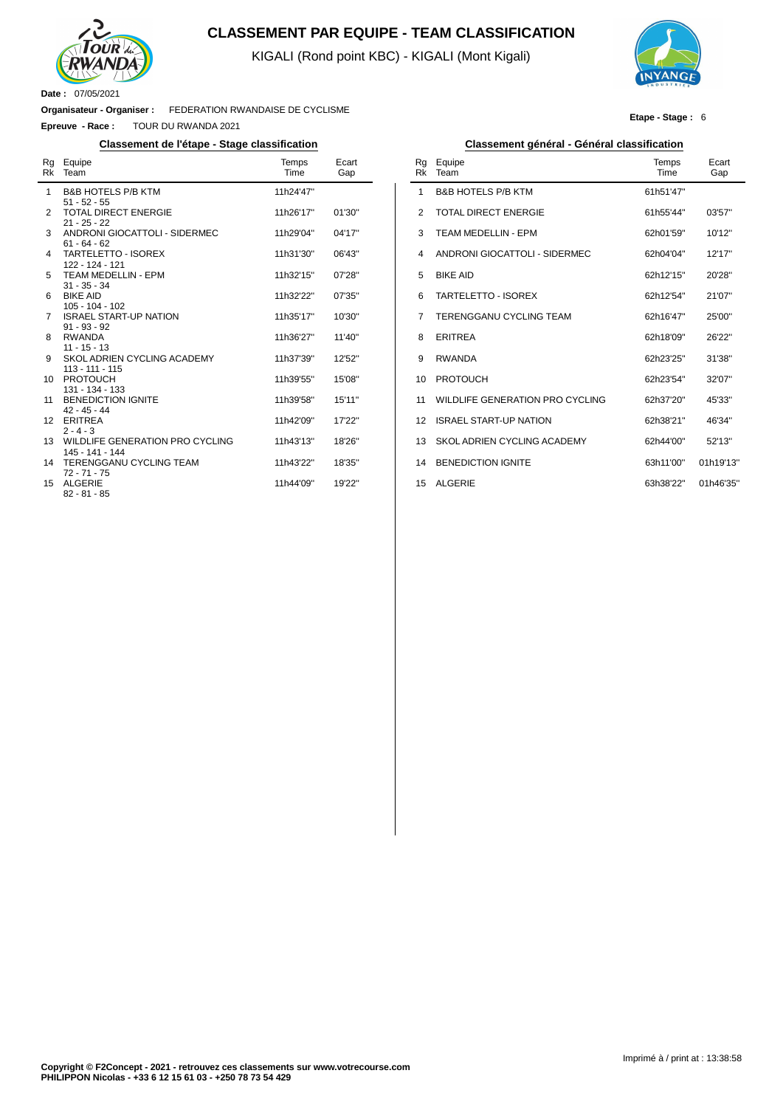

#### **CLASSEMENT PAR EQUIPE - TEAM CLASSIFICATION**

KIGALI (Rond point KBC) - KIGALI (Mont Kigali)



**Etape - Stage :** 6

**Organisateur - Organiser :** FEDERATION RWANDAISE DE CYCLISME

**Epreuve - Race :** TOUR DU RWANDA 2021

| Rg | Equipe<br>Rk Team                                  | Temps<br>Time | Ecart<br>Gap |
|----|----------------------------------------------------|---------------|--------------|
| 1  | <b>B&amp;B HOTELS P/B KTM</b><br>$51 - 52 - 55$    | 11h24'47"     |              |
| 2  | <b>TOTAL DIRECT ENERGIE</b><br>$21 - 25 - 22$      | 11h26'17"     | 01'30''      |
| 3  | ANDRONI GIOCATTOLI - SIDERMEC<br>$61 - 64 - 62$    | 11h29'04"     | 04'17"       |
| 4  | <b>TARTELETTO - ISOREX</b><br>122 - 124 - 121      | 11h31'30"     | 06'43"       |
| 5  | TEAM MEDELLIN - EPM<br>$31 - 35 - 34$              | 11h32'15"     | 07'28"       |
| 6  | <b>BIKE AID</b><br>$105 - 104 - 102$               | 11h32'22"     | 07'35"       |
| 7  | <b>ISRAEL START-UP NATION</b><br>$91 - 93 - 92$    | 11h35'17"     | 10'30"       |
| 8  | <b>RWANDA</b><br>$11 - 15 - 13$                    | 11h36'27"     | 11'40"       |
| 9  | SKOL ADRIEN CYCLING ACADEMY<br>113 - 111 - 115     | 11h37'39"     | 12'52"       |
| 10 | <b>PROTOUCH</b><br>$131 - 134 - 133$               | 11h39'55"     | 15'08"       |
| 11 | <b>BENEDICTION IGNITE</b><br>$42 - 45 - 44$        | 11h39'58"     | 15'11"       |
| 12 | <b>ERITREA</b><br>$2 - 4 - 3$                      | 11h42'09"     | 17'22"       |
| 13 | WILDLIFE GENERATION PRO CYCLING<br>145 - 141 - 144 | 11h43'13"     | 18'26"       |
| 14 | <b>TERENGGANU CYCLING TEAM</b><br>$72 - 71 - 75$   | 11h43'22"     | 18'35"       |
| 15 | <b>ALGERIE</b><br>$82 - 81 - 85$                   | 11h44'09"     | 19'22"       |

#### **Classement de l'étape - Stage classification Classement général - Général classification**

| Rg<br><b>Rk</b> | Equipe<br>Team                  | Temps<br>Time | Ecart<br>Gap |
|-----------------|---------------------------------|---------------|--------------|
| 1               | <b>B&amp;B HOTELS P/B KTM</b>   | 61h51'47"     |              |
| 2               | TOTAL DIRECT ENFRGIE            | 61h55'44"     | 03'57''      |
| 3               | <b>TEAM MEDELLIN - EPM</b>      | 62h01'59"     | 10'12"       |
| 4               | ANDRONI GIOCATTOLI - SIDERMEC   | 62h04'04"     | 12'17"       |
| 5               | <b>BIKE AID</b>                 | 62h12'15"     | 20'28"       |
| 6               | <b>TARTELETTO - ISOREX</b>      | 62h12'54"     | 21'07"       |
| 7               | <b>TERENGGANU CYCLING TEAM</b>  | 62h16'47"     | 25'00"       |
| 8               | <b>ERITREA</b>                  | 62h18'09"     | 26'22"       |
| 9               | <b>RWANDA</b>                   | 62h23'25"     | 31'38"       |
| 10              | <b>PROTOUCH</b>                 | 62h23'54"     | 32'07"       |
| 11              | WILDLIFE GENERATION PRO CYCLING | 62h37'20"     | 45'33"       |
| 12              | <b>ISRAEL START-UP NATION</b>   | 62h38'21"     | 46'34"       |
| 13              | SKOL ADRIEN CYCLING ACADEMY     | 62h44'00"     | 52'13"       |
| 14              | <b>BENEDICTION IGNITE</b>       | 63h11'00"     | 01h19'13"    |
| 15              | <b>ALGERIE</b>                  | 63h38'22"     | 01h46'35"    |
|                 |                                 |               |              |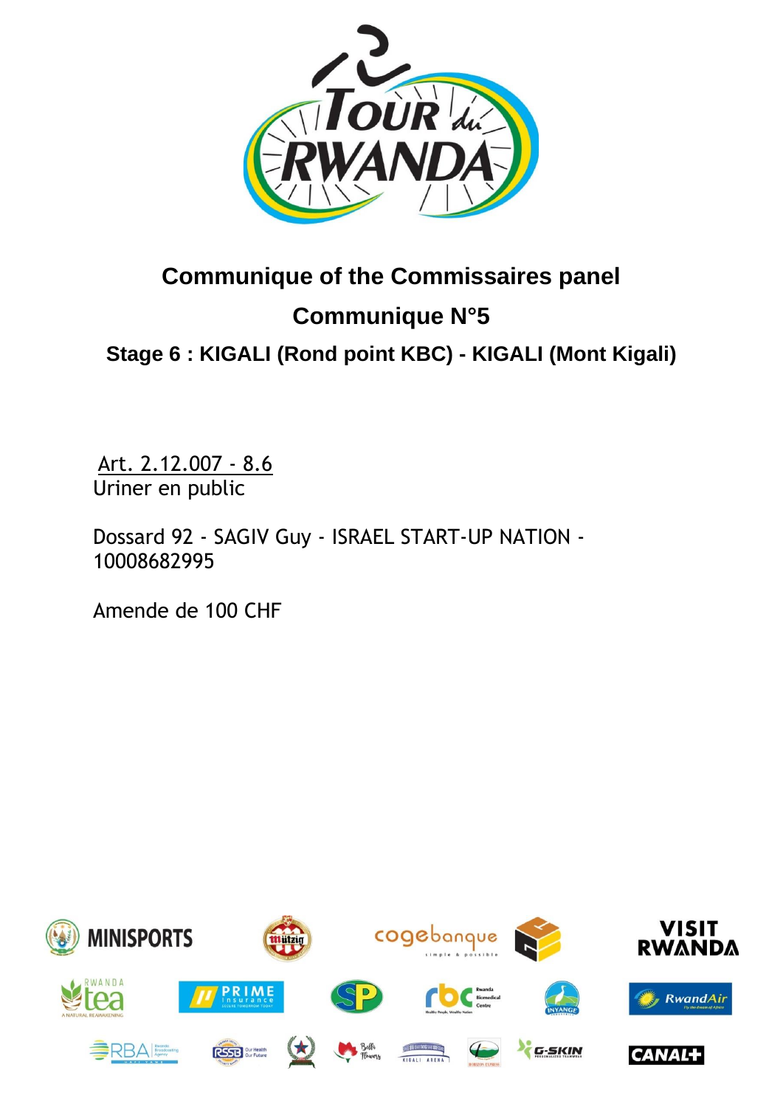

# **Communique of the Commissaires panel Communique N°5**

**Stage 6 : [KIGALI](https://www.procyclingstats.com/race/tour-of-turkey/2021/stage-1) (Rond point KBC) - KIGALI (Mont Kigali)**

Art. 2.12.007 - 8.6 Uriner en public

Dossard 92 - SAGIV Guy - ISRAEL START-UP NATION - 10008682995

Amende de 100 CHF

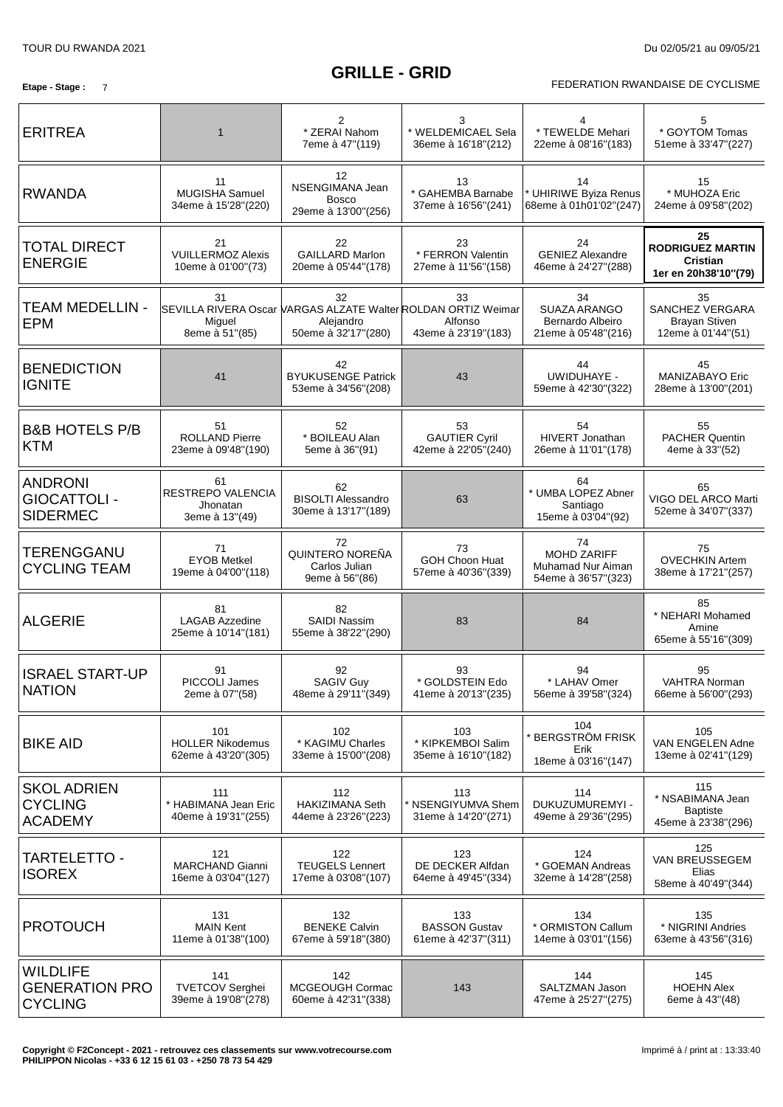### **GRILLE - GRID**

#### **Etape** - Stage : 7 **FEDERATION RWANDAISE DE CYCLISME**

| <b>ERITREA</b>                                             | $\mathbf 1$                                           | $\overline{2}$<br>* ZERAI Nahom<br>7eme à 47"(119)                                                      | 3<br>* WELDEMICAEL Sela<br>36eme à 16'18"(212)     | * TEWELDE Mehari<br>22eme à 08'16"(183)                        | 5<br>* GOYTOM Tomas<br>51eme à 33'47"(227)                               |
|------------------------------------------------------------|-------------------------------------------------------|---------------------------------------------------------------------------------------------------------|----------------------------------------------------|----------------------------------------------------------------|--------------------------------------------------------------------------|
| <b>RWANDA</b>                                              | 11<br>MUGISHA Samuel<br>34eme à 15'28"(220)           | 12<br>NSENGIMANA Jean<br><b>Bosco</b><br>29eme à 13'00"(256)                                            | 13<br>* GAHEMBA Barnabe<br>37eme à 16'56"(241)     | 14<br><b>UHIRIWE Byiza Renus</b><br>68eme à 01h01'02"(247)     | 15<br>* MUHOZA Eric<br>24eme à 09'58" (202)                              |
| <b>TOTAL DIRECT</b><br><b>ENERGIE</b>                      | 21<br><b>VUILLERMOZ Alexis</b><br>10eme à 01'00"(73)  | 22<br><b>GAILLARD Marlon</b><br>20eme à 05'44"(178)                                                     | 23<br>* FERRON Valentin<br>27eme à 11'56"(158)     | 24<br><b>GENIEZ Alexandre</b><br>46eme à 24'27"(288)           | 25<br><b>RODRIGUEZ MARTIN</b><br><b>Cristian</b><br>1er en 20h38'10"(79) |
| <b>TEAM MEDELLIN -</b><br><b>EPM</b>                       | 31<br>Miguel<br>8eme à 51"(85)                        | 32<br>SEVILLA RIVERA Oscar VARGAS ALZATE Walter ROLDAN ORTIZ Weimar<br>Alejandro<br>50eme à 32'17"(280) | 33<br>Alfonso<br>43eme à 23'19"(183)               | 34<br>SUAZA ARANGO<br>Bernardo Albeiro<br>21eme à 05'48"(216)  | 35<br>SANCHEZ VERGARA<br><b>Brayan Stiven</b><br>12eme à 01'44"(51)      |
| <b>BENEDICTION</b><br><b>IGNITE</b>                        | 41                                                    | 42<br><b>BYUKUSENGE Patrick</b><br>53eme à 34'56" (208)                                                 | 43                                                 | 44<br><b>UWIDUHAYE -</b><br>59eme à 42'30"(322)                | 45<br>MANIZABAYO Eric<br>28eme à 13'00"(201)                             |
| <b>B&amp;B HOTELS P/B</b><br><b>KTM</b>                    | 51<br><b>ROLLAND Pierre</b><br>23eme à 09'48"(190)    | 52<br>* BOILEAU Alan<br>5eme à 36"(91)                                                                  | 53<br><b>GAUTIER Cyril</b><br>42eme à 22'05"(240)  | 54<br><b>HIVERT Jonathan</b><br>26eme à 11'01"(178)            | 55<br>PACHER Quentin<br>4eme à 33"(52)                                   |
| <b>ANDRONI</b><br><b>GIOCATTOLI -</b><br><b>SIDERMEC</b>   | 61<br>RESTREPO VALENCIA<br>Jhonatan<br>3eme à 13"(49) | 62<br><b>BISOLTI Alessandro</b><br>30eme à 13'17"(189)                                                  | 63                                                 | 64<br>* UMBA LOPEZ Abner<br>Santiago<br>15eme à 03'04"(92)     | 65<br>VIGO DEL ARCO Marti<br>52eme à 34'07"(337)                         |
| TERENGGANU<br><b>CYCLING TEAM</b>                          | 71<br><b>EYOB Metkel</b><br>19eme à 04'00"(118)       | 72<br>QUINTERO NOREÑA<br>Carlos Julian<br>9eme à 56"(86)                                                | 73<br>GOH Choon Huat<br>57eme à 40'36"(339)        | 74<br>MOHD ZARIFF<br>Muhamad Nur Aiman<br>54eme à 36'57" (323) | 75<br><b>OVECHKIN Artem</b><br>38eme à 17'21"(257)                       |
| <b>ALGERIE</b>                                             | 81<br><b>LAGAB Azzedine</b><br>25eme à 10'14"(181)    | 82<br><b>SAIDI Nassim</b><br>55eme à 38'22"(290)                                                        | 83                                                 | 84                                                             | 85<br>* NEHARI Mohamed<br>Amine<br>65eme à 55'16"(309)                   |
| <b>ISRAEL START-UP</b><br><b>NATION</b>                    | 91<br>PICCOLI James<br>2eme à 07"(58)                 | 92<br><b>SAGIV Guy</b><br>48eme à 29'11"(349)                                                           | 93<br>* GOLDSTEIN Edo<br>41eme à 20'13"(235)       | 94<br>* LAHAV Omer<br>56eme à 39'58" (324)                     | 95<br><b>VAHTRA Norman</b><br>66eme à 56'00" (293)                       |
| <b>BIKE AID</b>                                            | 101<br><b>HOLLER Nikodemus</b><br>62eme à 43'20"(305) | 102<br>* KAGIMU Charles<br>33eme à 15'00"(208)                                                          | 103<br>* KIPKEMBOI Salim<br>35eme à 16'10"(182)    | 104<br><b>BERGSTRÖM FRISK</b><br>Erik<br>18eme à 03'16"(147)   | 105<br>VAN ENGELEN Adne<br>13eme à 02'41"(129)                           |
| <b>SKOL ADRIEN</b><br><b>CYCLING</b><br><b>ACADEMY</b>     | 111<br>* HABIMANA Jean Eric<br>40eme à 19'31"(255)    | 112<br><b>HAKIZIMANA Seth</b><br>44eme à 23'26"(223)                                                    | 113<br>* NSENGIYUMVA Shem<br>31eme à 14'20"(271)   | 114<br>DUKUZUMUREMYI -<br>49eme à 29'36" (295)                 | 115<br>* NSABIMANA Jean<br><b>Baptiste</b><br>45eme à 23'38" (296)       |
| TARTELETTO -<br><b>ISOREX</b>                              | 121<br>MARCHAND Gianni<br>16eme à 03'04"(127)         | 122<br><b>TEUGELS Lennert</b><br>17eme à 03'08"(107)                                                    | 123<br>DE DECKER Alfdan<br>64eme à 49'45" (334)    | 124<br>* GOEMAN Andreas<br>32eme à 14'28"(258)                 | 125<br>VAN BREUSSEGEM<br>Elias<br>58eme à 40'49"(344)                    |
| <b>PROTOUCH</b>                                            | 131<br><b>MAIN Kent</b><br>11eme à 01'38"(100)        | 132<br><b>BENEKE Calvin</b><br>67eme à 59'18"(380)                                                      | 133<br><b>BASSON Gustav</b><br>61eme à 42'37"(311) | 134<br>* ORMISTON Callum<br>14eme à 03'01"(156)                | 135<br>* NIGRINI Andries<br>63eme à 43'56" (316)                         |
| <b>WILDLIFE</b><br><b>GENERATION PRO</b><br><b>CYCLING</b> | 141<br><b>TVETCOV Serghei</b><br>39eme à 19'08"(278)  | 142<br>MCGEOUGH Cormac<br>60eme à 42'31"(338)                                                           | 143                                                | 144<br>SALTZMAN Jason<br>47eme à 25'27"(275)                   | 145<br><b>HOEHN Alex</b><br>6eme à 43"(48)                               |